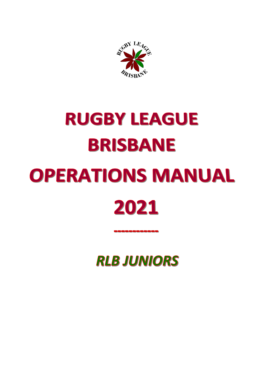

# **RUGBY LEAGUE BRISBANE OPERATIONS MANUAL** 2021

**RLB JUNIORS**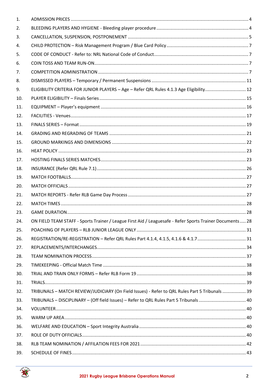| 1.  |                                                                                                          |  |
|-----|----------------------------------------------------------------------------------------------------------|--|
| 2.  |                                                                                                          |  |
| 3.  |                                                                                                          |  |
| 4.  |                                                                                                          |  |
| 5.  |                                                                                                          |  |
| 6.  |                                                                                                          |  |
| 7.  |                                                                                                          |  |
| 8.  |                                                                                                          |  |
| 9.  | ELIGIBILITY CRITERIA FOR JUNIOR PLAYERS - Age - Refer QRL Rules 4.1.3 Age Eligibility 12                 |  |
| 10. |                                                                                                          |  |
| 11. |                                                                                                          |  |
| 12. |                                                                                                          |  |
| 13. |                                                                                                          |  |
| 14. |                                                                                                          |  |
| 15. |                                                                                                          |  |
| 16. |                                                                                                          |  |
| 17. |                                                                                                          |  |
| 18. |                                                                                                          |  |
| 19. |                                                                                                          |  |
| 20. |                                                                                                          |  |
| 21. |                                                                                                          |  |
| 22. |                                                                                                          |  |
| 23. |                                                                                                          |  |
| 24. | ON FIELD TEAM STAFF - Sports Trainer / League First Aid / Leaguesafe - Refer Sports Trainer Documents 28 |  |
| 25. |                                                                                                          |  |
| 26. |                                                                                                          |  |
| 27. |                                                                                                          |  |
| 28. |                                                                                                          |  |
| 29. |                                                                                                          |  |
| 30. |                                                                                                          |  |
| 31. |                                                                                                          |  |
| 32. | TRIBUNALS - MATCH REVIEW/JUDICIARY (On Field Issues) - Refer to QRL Rules Part 5 Tribunals  39           |  |
| 33. |                                                                                                          |  |
| 34. |                                                                                                          |  |
| 35. |                                                                                                          |  |
| 36. |                                                                                                          |  |
| 37. |                                                                                                          |  |
| 38. |                                                                                                          |  |
| 39. |                                                                                                          |  |

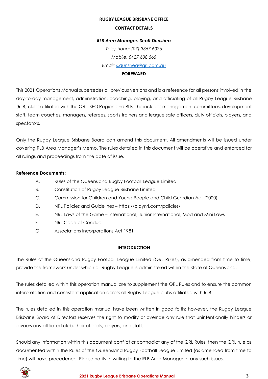#### **RUGBY LEAGUE BRISBANE OFFICE**

#### **CONTACT DETAILS**

## *RLB Area Manager: Scott Dunshea*

*Telephone: (07) 3367 6026 Mobile: 0427 608 565 Email:* [s.dunshea@qrl.com.au](mailto:s.dunshea@qrl.com.au)

## **FOREWARD**

This 2021 Operations Manual supersedes all previous versions and is a reference for all persons involved in the day-to-day management, administration, coaching, playing, and officiating of all Rugby League Brisbane (RLB) clubs affiliated with the QRL, SEQ Region and RLB. This includes management committees, development staff, team coaches, managers, referees, sports trainers and league safe officers, duty officials, players, and spectators.

Only the Rugby League Brisbane Board can amend this document. All amendments will be issued under covering RLB Area Manager's Memo. The rules detailed in this document will be operative and enforced for all rulings and proceedings from the date of issue.

## **Reference Documents:**

- A. Rules of the Queensland Rugby Football League Limited
- B. Constitution of Rugby League Brisbane Limited
- C. Commission for Children and Young People and Child Guardian Act (2000)
- D. NRL Policies and Guidelines https://playnrl.com/policies/
- E. NRL Laws of the Game International, Junior International, Mod and Mini Laws
- F. NRL Code of Conduct
- G. Associations Incorporations Act 1981

## **INTRODUCTION**

The Rules of the Queensland Rugby Football League Limited (QRL Rules), as amended from time to time, provide the framework under which all Rugby League is administered within the State of Queensland.

The rules detailed within this operation manual are to supplement the QRL Rules and to ensure the common interpretation and consistent application across all Rugby League clubs affiliated with RLB.

The rules detailed in this operation manual have been written in good faith; however, the Rugby League Brisbane Board of Directors reserves the right to modify or override any rule that unintentionally hinders or favours any affiliated club, their officials, players, and staff.

Should any information within this document conflict or contradict any of the QRL Rules, then the QRL rule as documented within the Rules of the Queensland Rugby Football League Limited (as amended from time to time) will have precedence. Please notify in writing to the RLB Area Manager of any such issues.

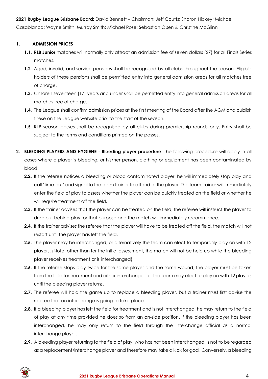**2021 Rugby League Brisbane Board:** David Bennett – Chairman; Jeff Coutts; Sharon Hickey; Michael Casablanca; Wayne Smith; Murray Smith; Michael Rose; Sebastian Olsen & Christine McGlinn

## <span id="page-3-0"></span>**1. ADMISSION PRICES**

- **1.1. RLB Junior** matches will normally only attract an admission fee of seven dollars (\$7) for all Finals Series matches.
- **1.2.** Aged, invalid, and service pensions shall be recognised by all clubs throughout the season. Eligible holders of these pensions shall be permitted entry into general admission areas for all matches free of charge.
- **1.3.** Children seventeen (17) years and under shall be permitted entry into general admission areas for all matches free of charge.
- **1.4.** The League shall confirm admission prices at the first meeting of the Board after the AGM and publish these on the League website prior to the start of the season.
- **1.5.** RLB season passes shall be recognised by all clubs during premiership rounds only. Entry shall be subject to the terms and conditions printed on the passes.
- <span id="page-3-1"></span>**2. BLEEDING PLAYERS AND HYGIENE - Bleeding player procedure**. The following procedure will apply in all cases where a player is bleeding, or his/her person, clothing or equipment has been contaminated by blood.
	- **2.2.** If the referee notices a bleeding or blood contaminated player, he will immediately stop play and call 'time-out' and signal to the team trainer to attend to the player. The team trainer will immediately enter the field of play to assess whether the player can be quickly treated on the field or whether he will require treatment off the field.
	- **2.3.** If the trainer advises that the player can be treated on the field, the referee will instruct the player to drop out behind play for that purpose and the match will immediately recommence.
	- **2.4.** If the trainer advises the referee that the player will have to be treated off the field, the match will not restart until the player has left the field.
	- **2.5.** The player may be interchanged, or alternatively the team can elect to temporarily play on with 12 players. (Note: other than for the initial assessment, the match will not be held up while the bleeding player receives treatment or is interchanged).
	- **2.6.** If the referee stops play twice for the same player and the same wound, the player must be taken from the field for treatment and either interchanged or the team may elect to play on with 12 players until the bleeding player returns.
	- **2.7.** The referee will hold the game up to replace a bleeding player, but a trainer must first advise the referee that an interchange is going to take place.
	- **2.8.** If a bleeding player has left the field for treatment and is not interchanged, he may return to the field of play at any time provided he does so from an on-side position. If the bleeding player has been interchanged, he may only return to the field through the interchange official as a normal interchange player.
	- **2.9.** A bleeding player returning to the field of play, who has not been interchanged, is not to be regarded as a replacement/interchange player and therefore may take a kick for goal. Conversely, a bleeding

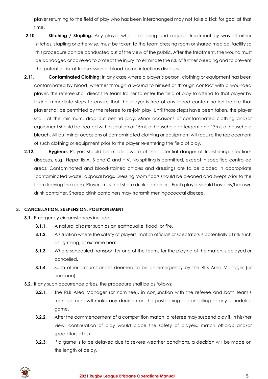player returning to the field of play who has been interchanged may not take a kick for goal at that time.

- **2.10. Stitching / Stapling:** Any player who is bleeding and requires treatment by way of either stitches, stapling or otherwise, must be taken to the team dressing room or shared medical facility so this procedure can be conducted out of the view of the public. After the treatment, the wound must be bandaged or covered to protect the injury, to eliminate the risk of further bleeding and to prevent the potential risk of transmission of blood-borne infectious diseases.
- **2.11. Contaminated Clothing:** In any case where a player's person, clothing or equipment has been contaminated by blood, whether through a wound to himself or through contact with a wounded player, the referee shall direct the team trainer to enter the field of play to attend to that player by taking immediate steps to ensure that the player is free of any blood contamination before that player shall be permitted by the referee to re-join play. Until those steps have been taken, the player shall, at the minimum, drop out behind play. Minor occasions of contaminated clothing and/or equipment should be treated with a solution of 15mls of household detergent and 17mls of household bleach. All but minor occasions of contaminated clothing or equipment will require the replacement of such clothing or equipment prior to the player re-entering the field of play.
- **2.12. <b>Hygiene:** Players should be made aware of the potential danger of transferring infectious diseases, e.g., Hepatitis A, B and C and HIV. No spitting is permitted, except in specified controlled areas. Contaminated and blood-stained articles and dressings are to be placed in appropriate 'contaminated waste' disposal bags. Dressing room floors should be cleaned and swept prior to the team leaving the room. Players must not share drink containers. Each player should have his/her own drink container. Shared drink containers may transmit meningococcal disease.

## <span id="page-4-0"></span>**3. CANCELLATION, SUSPENSION, POSTPONEMENT**

- **3.1.** Emergency circumstances include:
	- **3.1.1.** A natural disaster such as an earthquake, flood, or fire.
	- **3.1.2.** A situation where the safety of players, match officials or spectators is potentially at risk such as lightning, or extreme heat.
	- **3.1.3.** Where scheduled transport for one of the teams for the playing of the match is delayed or cancelled.
	- **3.1.4.** Such other circumstances deemed to be an emergency by the RLB Area Manager (or nominee).
- **3.2.** If any such occurrence arises, the procedure shall be as follows:
	- **3.2.1.** The RLB Area Manager (or nominee), in conjunction with the referee and both team's management will make any decision on the postponing or cancelling of any scheduled game.
	- **3.2.2.** After the commencement of a competition match, a referee may suspend play if, in his/her view, continuation of play would place the safety of players, match officials and/or spectators at risk.
	- **3.2.3.** If a game is to be delayed due to severe weather conditions, a decision will be made on the length of delay.

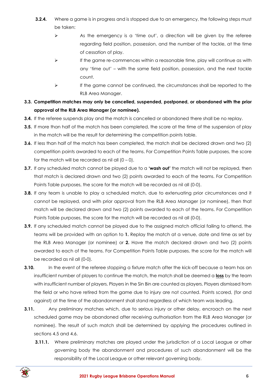- **3.2.4.** Where a game is in progress and is stopped due to an emergency, the following steps must be taken:
	- $\triangleright$  As the emergency is a 'time out', a direction will be given by the referee regarding field position, possession, and the number of the tackle, at the time of cessation of play.
	- $\triangleright$  If the game re-commences within a reasonable time, play will continue as with any 'time out' – with the same field position, possession, and the next tackle count.
	- ➢ If the game cannot be continued, the circumstances shall be reported to the RLB Area Manager.
- **3.3. Competition matches may only be cancelled, suspended, postponed, or abandoned with the prior approval of the RLB Area Manager (or nominee).**
- **3.4.** If the referee suspends play and the match is cancelled or abandoned there shall be no replay.
- **3.5.** If more than half of the match has been completed, the score at the time of the suspension of play in the match will be the result for determining the competition points table.
- **3.6.** If less than half of the match has been completed, the match shall be declared drawn and two (2) competition points awarded to each of the teams. For Competition Points Table purposes, the score for the match will be recorded as nil all  $(0 - 0)$ .
- **3.7.** If any scheduled match cannot be played due to a **'wash out'** the match will not be replayed, then that match is declared drawn and two (2) points awarded to each of the teams. For Competition Points Table purposes, the score for the match will be recorded as nil all (0-0).
- **3.8.** If any team is unable to play a scheduled match, due to extenuating prior circumstances and it cannot be replayed, and with prior approval from the RLB Area Manager (or nominee), then that match will be declared drawn and two (2) points awarded to each of the teams. For Competition Points Table purposes, the score for the match will be recorded as nil all (0-0).
- **3.9.** If any scheduled match cannot be played due to the assigned match official failing to attend, the teams will be provided with an option to **1.** Replay the match at a venue, date and time as set by the RLB Area Manager (or nominee) or **2.** Have the match declared drawn and two (2) points awarded to each of the teams. For Competition Points Table purposes, the score for the match will be recorded as nil all (0-0).
- **3.10.** In the event of the referee stopping a fixture match after the kick-off because a team has an insufficient number of players to continue the match, the match shall be deemed a **loss** by the team with insufficient number of players. Players in the Sin Bin are counted as players. Players dismissed from the field or who have retired from the game due to injury are not counted. Points scored, (for and against) at the time of the abandonment shall stand regardless of which team was leading.
- **3.11.** Any preliminary matches which, due to serious injury or other delay, encroach on the next scheduled game may be abandoned after receiving authorisation from the RLB Area Manager (or nominee). The result of such match shall be determined by applying the procedures outlined in sections 4.5 and 4.6.
	- **3.11.1.** Where preliminary matches are played under the jurisdiction of a Local League or other governing body the abandonment and procedures of such abandonment will be the responsibility of the Local League or other relevant governing body.

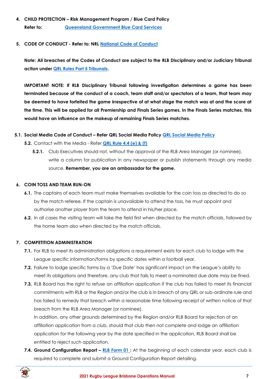- <span id="page-6-0"></span>**4. CHILD PROTECTION – Risk Management Program / Blue Card Policy Refer to: [Queensland Government Blue Card Services](https://www.qld.gov.au/law/laws-regulated-industries-and-accountability/queensland-laws-and-regulations/regulated-industries-and-licensing/blue-card-services)**
- <span id="page-6-1"></span>**5. CODE OF CONDUCT - Refer to: NRL [National Code of Conduct](https://www.playrugbyleague.com/referee/laws-of-the-game/code-of-conduct/?_ga=2.124193162.1804782290.1616379874-1105502845.1611784090)**

**Note: All breaches of the Codes of Conduct are subject to the RLB Disciplinary and/or Judiciary Tribunal action under [QRL Rules Part 5 Tribunals.](https://www.qrl.com.au/contentassets/5082282f19124e0cab5852f0b1815557/qrl-rules-part-5.pdf)**

**IMPORTANT NOTE: If RLB Disciplinary Tribunal following investigation determines a game has been terminated because of the conduct of a coach, team staff and/or spectators of a team, that team may be deemed to have forfeited the game irrespective of at what stage the match was at and the score at the time. This will be applied for all Premiership and Finals Series games. In the Finals Series matches, this would have an influence on the makeup of remaining Finals Series matches.**

- **5.1. Social Media Code of Conduct – Refer QRL Social Media Policy [QRL Social Media Policy](https://www.qrl.com.au/contentassets/a1b82e2956c04298b4867682b38f192e/qrl-policy---social-media.pdf)**
	- **5.2.** Contact with the Media Refer **[QRL Rule 4.4 \(e\) & \(f\)](https://www.qrl.com.au/contentassets/fe165f50b22a4557bddabb6ca8e9d0a2/qrl-rules-part-4.pdf)**
		- **5.2.1.** Club Executives should not, without the approval of the RLB Area Manager (or nominee), write a column for publication in any newspaper or publish statements through any media source. **Remember, you are an ambassador for the game.**

## <span id="page-6-2"></span>**6. COIN TOSS AND TEAM RUN-ON**

- **6.1.** The captains of each team must make themselves available for the coin toss as directed to do so by the match referee. If the captain is unavailable to attend the toss, he must appoint and authorise another player from the team to attend in his/her place.
- **6.2.** In all cases the visiting team will take the field first when directed by the match officials, followed by the home team also when directed by the match officials.

## <span id="page-6-3"></span>**7. COMPETITION ADMINISTRATION**

- **7.1.** For RLB to meet its administration obligations a requirement exists for each club to lodge with the League specific information/forms by specific dates within a football year.
- **7.2.** Failure to lodge specific forms by a 'Due Date' has significant impact on the League's ability to meet its obligations and therefore, any club that fails to meet a nominated due date may be fined.
- **7.3.** RLB Board has the right to refuse an affiliation application if the club has failed to meet its financial commitments with RLB or the Region and/or the club is in breach of any QRL or sub-ordinate rule and has failed to remedy that breach within a reasonable time following receipt of written notice of that breach from the RLB Area Manager (or nominee).

In addition, any other grounds determined by the Region and/or RLB Board for rejection of an affiliation application from a club, should that club then not complete and lodge an affiliation application for the following year by the date specified in the application, RLB Board shall be entitled to reject such application.

**7.4. Ground Configuration Report – [RLB Form 01 :](https://www.rugbyleaguebrisbane.com.au/documents-policies)** At the beginning of each calendar year, each club is required to complete and submit a Ground Configuration Report detailing.

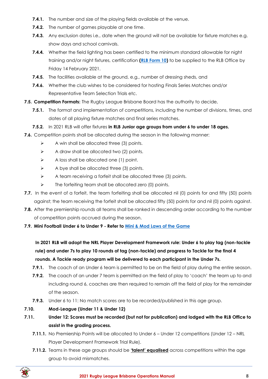- **7.4.1.** The number and size of the playing fields available at the venue.
- **7.4.2.** The number of games playable at one time.
- **7.4.3.** Any exclusion dates i.e., date when the ground will not be available for fixture matches e.g. show days and school carnivals.
- **7.4.4.** Whether the field lighting has been certified to the minimum standard allowable for night training and/or night fixtures, certification **[\(RLB Form 10\)](https://www.rugbyleaguebrisbane.com.au/documents-policies)** to be supplied to the RLB Office by Friday 14 February 2021.
- **7.4.5.** The facilities available at the ground, e.g., number of dressing sheds, and
- **7.4.6.** Whether the club wishes to be considered for hosting Finals Series Matches and/or Representative Team Selection Trials etc.
- **7.5. Competition Formats:** The Rugby League Brisbane Board has the authority to decide,
	- **7.5.1.** The format and implementation of competitions, including the number of divisions, times, and dates of all playing fixture matches and final series matches.
	- **7.5.2.** In 2021 RLB will offer fixtures **in RLB Junior age groups from under 6 to under 18 ages.**
- **7.6.** Competition points shall be allocated during the season in the following manner:
	- $\triangleright$  A win shall be allocated three (3) points.
	- $\triangleright$  A draw shall be allocated two (2) points.
	- $\triangleright$  A loss shall be allocated one (1) point.
	- $\triangleright$  A bye shall be allocated three (3) points.
	- $\triangleright$  A team receiving a forfeit shall be allocated three (3) points.
	- $\triangleright$  The forfeiting team shall be allocated zero (0) points.
- **7.7.** In the event of a forfeit, the team forfeiting shall be allocated nil (0) points for and fifty (50) points against; the team receiving the forfeit shall be allocated fifty (50) points for and nil (0) points against.
- **7.8.** After the premiership rounds all teams shall be ranked in descending order according to the number of competition points accrued during the season.
- **7.9. Mini Football Under 6 to Under 9 - Refer to [Mini & Mod Laws of the Game](https://www.playrugbyleague.com/referee/laws-of-the-game/junior-league-laws-6-12s/?_ga=2.59677092.807423837.1616471349-1105502845.1611784090)**

**In 2021 RLB will adopt the NRL Player Development Framework rule: Under 6 to play tag (non-tackle rule) and under 7s to play 10 rounds of tag (non-tackle) and progress to Tackle for the final 4 rounds. A Tackle ready program will be delivered to each participant in the Under 7s.**

- **7.9.1.** The coach of an Under 6 team is permitted to be on the field of play during the entire season.
- **7.9.2.** The coach of an under 7 team is permitted on the field of play to 'coach' the team up to and including round 6, coaches are then required to remain off the field of play for the remainder of the season.
- **7.9.3.** Under 6 to 11: No match scores are to be recorded/published in this age group.
- **7.10. Mod-League (Under 11 & Under 12)**
- **7.11. Under 12: Scores must be recorded (but not for publication) and lodged with the RLB Office to assist in the grading process.**
	- **7.11.1.** No Premiership Points will be allocated to Under 6 Under 12 competitions (Under 12 NRL Player Development Framework Trial Rule).
	- **7.11.2.** Teams in these age groups should be **'talent' equalised** across competitions within the age group to avoid mismatches.

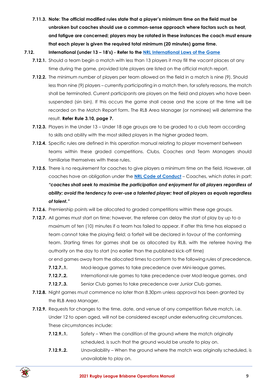**7.11.3. Note: The official modified rules state that a player's minimum time on the field must be unbroken but coaches should use a common-sense approach where factors such as heat, and fatigue are concerned; players may be rotated in these instances the coach must ensure that each player is given the required total minimum (20 minutes) game time.**

## **7.12. International (under 13 – 18's) - Refer to the [NRL International Laws of the Game](https://www.playrugbyleague.com/referee/laws-of-the-game/junior-league-laws-6-12s/?_ga=2.59677092.807423837.1616471349-1105502845.1611784090)**

- **7.12.1.** Should a team begin a match with less than 13 players it may fill the vacant places at any time during the game, provided late players are listed on the official match report.
- **7.12.2.** The minimum number of players per team allowed on the field in a match is nine (9). Should less than nine (9) players – currently participating in a match then, for safety reasons, the match shall be terminated. Current participants are players on the field and players who have been suspended (sin bin). If this occurs the game shall cease and the score at the time will be recorded on the Match Report form. The RLB Area Manager (or nominee) will determine the result. **Refer Rule 3.10, page 7.**
- **7.12.3.** Players in the Under 13 Under 18 age groups are to be graded to a club team according to skills and ability with the most skilled players in the higher graded team.
- **7.12.4.** Specific rules are defined in this operation manual relating to player movement between teams within these graded competitions. Clubs, Coaches and Team Managers should familiarise themselves with these rules.
- **7.12.5.** There is no requirement for coaches to give players a minimum time on the field. However, all coaches have an obligation under the **[NRL Code of Conduct](https://www.playrugbyleague.com/media/9949/2020nrl-dev19_code_of_conduct_v4.pdf)** – Coaches, which states in part: *"coaches shall seek to maximise the participation and enjoyment for all players regardless of ability; avoid the tendency to over-use a talented player; treat all players as equals regardless of talent."*
- **7.12.6.** Premiership points will be allocated to graded competitions within these age groups.
- **7.12.7.** All games must start on time; however, the referee can delay the start of play by up to a maximum of ten (10) minutes if a team has failed to appear. If after this time has elapsed a team cannot take the playing field; a forfeit will be declared in favour of the conforming team. Starting times for games shall be as allocated by RLB, with the referee having the authority on the day to start (no earlier than the published kick-off time)
	- or end games away from the allocated times to conform to the following rules of precedence,
	- **7.12.7..1.** Mod-league games to take precedence over Mini-league games,
	- **7.12.7..2.** International rule games to take precedence over Mod-league games, and
	- **7.12.7..3.** Senior Club games to take precedence over Junior Club games.
- **7.12.8.** Night games must commence no later than 8.30pm unless approval has been granted by the RLB Area Manager.
- **7.12.9.** Requests for changes to the time, date, and venue of any competition fixture match, i.e. Under 12 to open aged, will not be considered except under extenuating circumstances. These circumstances include:
	- **7.12.9..1.** Safety When the condition of the ground where the match originally scheduled, is such that the ground would be unsafe to play on.
	- **7.12.9..2.** Unavailability When the ground where the match was originally scheduled, is unavailable to play on.

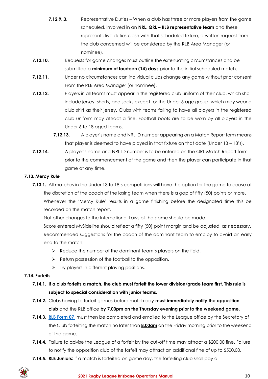- **7.12.9..3.** Representative Duties When a club has three or more players from the game scheduled, involved in an **NRL, QRL – RLB representative team** and these representative duties clash with that scheduled fixture, a written request from the club concerned will be considered by the RLB Area Manager (or nominee).
- **7.12.10.** Requests for game changes must outline the extenuating circumstances and be submitted a **minimum of fourteen (14) days** prior to the initial scheduled match.
- **7.12.11.** Under no circumstances can individual clubs change any game without prior consent From the RLB Area Manager (or nominee).
- **7.12.12.** Players in all teams must appear in the registered club uniform of their club, which shall include jersey, shorts, and socks except for the Under 6 age group, which may wear a club shirt as their jersey. Clubs with teams failing to have all players in the registered club uniform may attract a fine. Football boots are to be worn by all players in the Under 6 to 18 aged teams.
	- **7.12.13.** A player's name and NRL ID number appearing on a Match Report form means that player is deemed to have played in that fixture on that date (Under 13 – 18's).
- **7.12.14.** A player's name and NRL ID number is to be entered on the QRL Match Report form prior to the commencement of the game and then the player can participate in that game at any time.

## **7.13. Mercy Rule**

- **7.13.1.** All matches in the Under 13 to 18's competitions will have the option for the game to cease at the discretion of the coach of the losing team when there is a gap of fifty (50) points or more. Whenever the 'Mercy Rule' results in a game finishing before the designated time this be recorded on the match report.
	- Not other changes to the International Laws of the game should be made.

Score entered MySideline should reflect a fifty (50) point margin and be adjusted, as necessary. Recommended suggestions for the coach of the dominant team to employ to avoid an early end to the match:

- ➢ Reduce the number of the dominant team's players on the field.
- ➢ Return possession of the football to the opposition.
- $\triangleright$  Try players in different playing positions.

## **7.14. Forfeits**

- **7.14.1. If a club forfeits a match, the club must forfeit the lower division/grade team first. This rule is subject to special consideration with junior teams.**
- **7.14.2.** Clubs having to forfeit games before match day **must immediately notify the opposition club** and the RLB office **by 7.00pm on the Thursday evening prior to the weekend game**.
- **7.14.3. [RLB Form 07](https://www.rugbyleaguebrisbane.com.au/documents-policies)** must then be completed and emailed to the League office by the Secretary of the Club forfeiting the match no later than **8.00am** on the Friday morning prior to the weekend of the game.
- **7.14.4.** Failure to advise the League of a forfeit by the cut-off time may attract a \$200.00 fine. Failure to notify the opposition club of the forfeit may attract an additional fine of up to \$500.00.
- **7.14.5. RLB Juniors:** If a match is forfeited on game day, the forfeiting club shall pay a

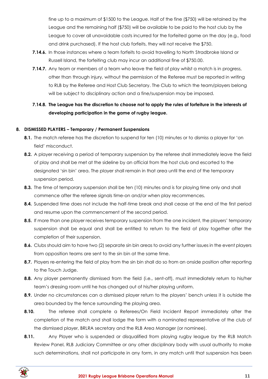fine up to a maximum of \$1500 to the League. Half of the fine (\$750) will be retained by the League and the remaining half (\$750) will be available to be paid to the host club by the League to cover all unavoidable costs incurred for the forfeited game on the day (e.g., food and drink purchased). If the host club forfeits, they will not receive the \$750.

- **7.14.6.** In those instances where a team forfeits to avoid travelling to North Stradbroke Island or Russell Island, the forfeiting club may incur an additional fine of \$750.00.
- **7.14.7.** Any team or members of a team who leave the field of play whilst a match is in progress, other than through injury, without the permission of the Referee must be reported in writing to RLB by the Referee and Host Club Secretary. The Club to which the team/players belong will be subject to disciplinary action and a fine/suspension may be imposed.

# **7.14.8. The League has the discretion to choose not to apply the rules of forfeiture in the interests of developing participation in the game of rugby league.**

## <span id="page-10-0"></span>**8. DISMISSED PLAYERS – Temporary / Permanent Suspensions**

- **8.1.** The match referee has the discretion to suspend for ten (10) minutes or to dismiss a player for 'on field' misconduct.
- **8.2.** A player receiving a period of temporary suspension by the referee shall immediately leave the field of play and shall be met at the sideline by an official from the host club and escorted to the designated 'sin bin' area. The player shall remain in that area until the end of the temporary suspension period.
- **8.3.** The time of temporary suspension shall be ten (10) minutes and is for playing time only and shall commence after the referee signals time-on and/or when play recommences.
- **8.4.** Suspended time does not include the half-time break and shall cease at the end of the first period and resume upon the commencement of the second period.
- **8.5.** If more than one player receives temporary suspension from the one incident, the players' temporary suspension shall be equal and shall be entitled to return to the field of play together after the completion of their suspension.
- **8.6.** Clubs should aim to have two (2) separate sin bin areas to avoid any further issues in the event players from opposition teams are sent to the sin bin at the same time.
- **8.7.** Players re-entering the field of play from the sin bin shall do so from an onside position after reporting to the Touch Judge.
- **8.8.** Any player permanently dismissed from the field (i.e., sent-off), must immediately return to his/her team's dressing room until he has changed out of his/her playing uniform.
- **8.9.** Under no circumstances can a dismissed player return to the players' bench unless it is outside the area bounded by the fence surrounding the playing area.
- **8.10.** The referee shall complete a Referees/On Field Incident Report immediately after the completion of the match and shall lodge the form with a nominated representative of the club of the dismissed player, BRLRA secretary and the RLB Area Manager (or nominee).
- **8.11.** Any Player who is suspended or disqualified from playing rugby league by the RLB Match Review Panel, RLB Judiciary Committee or any other disciplinary body with usual authority to make such determinations, shall not participate in any form, in any match until that suspension has been

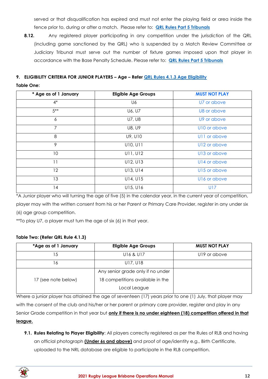served or that disqualification has expired and must not enter the playing field or area inside the fence prior to, during or after a match. Please refer to: **[QRL Rules Part 5 Tribunals](https://www.qrl.com.au/contentassets/5082282f19124e0cab5852f0b1815557/qrl-rules-part-5.pdf)**

**8.12.** Any registered player participating in any competition under the jurisdiction of the QRL (including game sanctioned by the QRL) who is suspended by a Match Review Committee or Judiciary Tribunal must serve out the number of fixture games imposed upon that player in accordance with the Base Penalty Schedule. Please refer to: **[QRL Rules Part 5 Tribunals](https://www.qrl.com.au/contentassets/5082282f19124e0cab5852f0b1815557/qrl-rules-part-5.pdf)**

# <span id="page-11-0"></span>**9. ELIGIBILITY CRITERIA FOR JUNIOR PLAYERS – Age – Refer [QRL Rules 4.1.3 Age Eligibility](https://www.qrl.com.au/contentassets/fe165f50b22a4557bddabb6ca8e9d0a2/qrl-rules-part-4.pdf) Table One:**

| * Age as of 1 January | <b>Eligible Age Groups</b> | <b>MUST NOT PLAY</b>     |
|-----------------------|----------------------------|--------------------------|
| $4^*$                 | U6                         | U7 or above              |
| $5***$                | U6, U7                     | U8 or above              |
| 6                     | U7, U8                     | U9 or above              |
| $\overline{7}$        | U8, U9                     | U10 or above             |
| 8                     | U9, U10                    | U <sub>11</sub> or above |
| 9                     | U10, U11                   | U12 or above             |
| 10                    | U11, U12                   | U13 or above             |
| 11                    | U12, U13                   | U14 or above             |
| 12                    | U13, U14                   | U15 or above             |
| 13                    | U14, U15                   | U16 or above             |
| 14                    | U15, U16                   | U17                      |

\*A Junior player who will turning the age of five (5) in the calendar year, in the current year of competition, player may with the written consent from his or her Parent or Primary Care Provider, register in any under six (6) age group competition.

\*\*To play U7, a player must turn the age of six (6) in that year.

## **Table Two: (Refer QRL Rule 4.1.3)**

| *Age as of 1 January | <b>Eligible Age Groups</b>        | <b>MUST NOT PLAY</b> |
|----------------------|-----------------------------------|----------------------|
| 15                   | U16 & U17                         | U19 or above         |
| 16                   | U17, U18                          |                      |
|                      | Any senior grade only if no under |                      |
| 17 (see note below)  | 18 competitions available in the  |                      |
|                      | Local League                      |                      |

Where a junior player has attained the age of seventeen (17) years prior to one (1) July, that player may with the consent of the club and his/her or her parent or primary care provider, register and play in any Senior Grade competition in that year but **only if there is no under eighteen (18) competition offered in that league.**

**9.1. Rules Relating to Player Eligibility**: All players correctly registered as per the Rules of RLB and having an official photograph **(Under 6s and above)** and proof of age/identity e.g., Birth Certificate, uploaded to the NRL database are eligible to participate in the RLB competition.

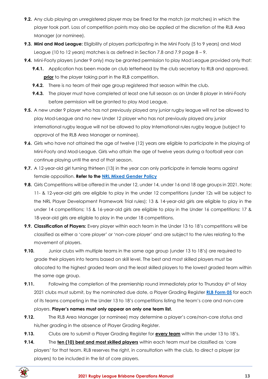- **9.2.** Any club playing an unregistered player may be fined for the match (or matches) in which the player took part. Loss of competition points may also be applied at the discretion of the RLB Area Manager (or nominee).
- **9.3. Mini and Mod League:** Eligibility of players participating in the Mini Footy (5 to 9 years) and Mod League (10 to 12 years) matches is as defined in Section 7.8 and 7.9 page  $8 - 9$ .
- **9.4.** Mini-Footy players (under 9 only) may be granted permission to play Mod League provided only that:
	- **9.4.1.** Application has been made on club letterhead by the club secretary to RLB and approved, **prior** to the player taking part in the RLB competition.
	- **9.4.2.** There is no team of their age group registered that season within the club.
	- **9.4.3.** The player must have completed at least one full season as an Under 8 player in Mini-Footy before permission will be granted to play Mod League.
- **9.5.** A new under 9 player who has not previously played any junior rugby league will not be allowed to play Mod-League and no new Under 12 player who has not previously played any junior international rugby league will not be allowed to play International rules rugby league (subject to approval of the RLB Area Manager or nominee).
- **9.6.** Girls who have not attained the age of twelve (12) years are eligible to participate in the playing of Mini-Footy and Mod-League. Girls who attain the age of twelve years during a football year can continue playing until the end of that season.
- **9.7.** A 12-year-old girl turning thirteen (13) in the year can only participate in female teams against female opposition. **Refer to the [NRL Mixed Gender Policy](https://www.playrugbyleague.com/media/3067/nrl_mixed-gender-policy_p011_v10_05022019.pdf)**
- **9.8.** Girls Competitions will be offered in the under 12, under 14, under 16 and 18 age groups in 2021. Note: 11- & 12-year-old girls are eligible to play in the under 12 competitions (under 12s will be subject to the NRL Player Development Framework Trial rules); 13 & 14-year-old girls are eligible to play in the under 14 competitions; 15 & 16-year-old girls are eligible to play in the Under 16 competitions: 17 & 18-year-old girls are eligible to play in the under 18 competitions.
- **9.9. Classification of Players:** Every player within each team in the Under 13 to 18's competitions will be classified as either a 'core player' or 'non-core player' and are subject to the rules relating to the movement of players.
- **9.10.** Junior clubs with multiple teams in the same age group (under 13 to 18's) are required to grade their players into teams based on skill level. The best and most skilled players must be allocated to the highest graded team and the least skilled players to the lowest graded team within the same age group.
- **9.11.** Following the completion of the premiership round immediately prior to Thursday 6<sup>th</sup> of May 2021 clubs must submit, by the nominated due date, a Player Grading Register **[RLB Form 05](https://www.rugbyleaguebrisbane.com.au/documents-policies)** for each of its teams competing in the Under 13 to 18's competitions listing the team's core and non-core players. **Player's names must only appear on only one team list.**
- **9.12.** The RLB Area Manager (or nominee) may determine a player's core/non-core status and his/her grading in the absence of Player Grading Register.
- **9.13.** Clubs are to submit a Player Grading Register for **every team** within the under 13 to 18's.
- **9.14.** The **ten (10) best and most skilled players** within each team must be classified as 'core players' for that team. RLB reserves the right, in consultation with the club, to direct a player (or players) to be included in the list of core players.

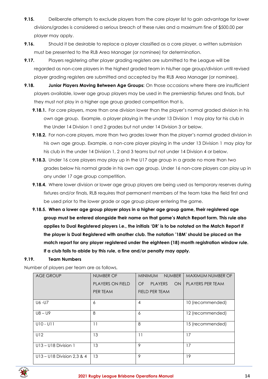- **9.15.** Deliberate attempts to exclude players from the core player list to gain advantage for lower divisions/grades is considered a serious breach of these rules and a maximum fine of \$500.00 per player may apply.
- **9.16.** Should it be desirable to replace a player classified as a core player, a written submission must be presented to the RLB Area Manager (or nominee) for determination.
- **9.17.** Players registering after player grading registers are submitted to the League will be regarded as non-core players in the highest graded team in his/her age group/division until revised player grading registers are submitted and accepted by the RLB Area Manager (or nominee).
- **9.18. Junior Players Moving Between Age Groups:** On those occasions where there are insufficient players available, lower age group players may be used in the premiership fixtures and finals, but they must not play in a higher age group graded competition that is,
	- **9.18.1.** For core players, more than one division lower than the player's normal graded division in his own age group. Example, a player playing in the under 13 Division 1 may play for his club in the Under 14 Division 1 and 2 grades but not under 14 Division 3 or below.
	- **9.18.2.** For non-core players, more than two grades lower than the player's normal graded division in his own age group. Example, a non-core player playing in the under 13 Division 1 may play for his club in the under 14 Division 1, 2 and 3 teams but not under 14 Division 4 or below.
	- **9.18.3.** Under 16 core players may play up in the U17 age group in a grade no more than two grades below his normal grade in his own age group. Under 16 non-core players can play up in any under 17 age group competition.
	- **9.18.4.** Where lower division or lower age group players are being used as temporary reserves during fixtures and/or finals, RLB requires that permanent members of the team take the field first and be used prior to the lower grade or age group player entering the game.
	- **9.18.5. When a lower age group player plays in a higher age group game, their registered age group must be entered alongside their name on that game's Match Report form. This rule also applies to Dual Registered players i.e., the initials 'DR' is to be notated on the Match Report if the player is Dual Registered with another club. The notation '18M' should be placed on the match report for any player registered under the eighteen (18) month registration window rule. If a club fails to abide by this rule, a fine and/or penalty may apply.**

## **9.19. Team Numbers**

Number of players per team are as follows,

| <b>AGE GROUP</b>           | NUMBER OF        | <b>NUMBER</b><br><b>MINIMUM</b>   | <b>MAXIMUM NUMBER OF</b> |
|----------------------------|------------------|-----------------------------------|--------------------------|
|                            | PLAYERS ON FIELD | <b>PLAYERS</b><br><b>OF</b><br>ON | PLAYERS PER TEAM         |
|                            | PER TEAM         | FIELD PER TEAM                    |                          |
| U6 -U7                     | 6                | 4                                 | 10 (recommended)         |
| $U8 - U9$                  | 8                | 6                                 | 12 (recommended)         |
| $U10 - U11$                | 11               | 8                                 | 15 (recommended)         |
| U12                        | 13               | 11                                | 17                       |
| U13 - U18 Division 1       | 13               | 9                                 | 17                       |
| U13 - U18 Division 2,3 & 4 | 13               | 9                                 | 19                       |



#### **2021 Rugby League Brisbane Operations Manual 14**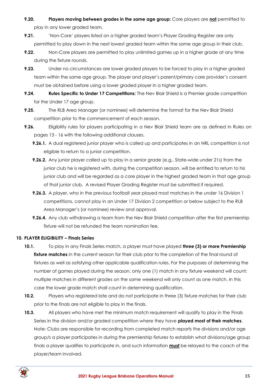- **9.20. Players moving between grades in the same age group:** Core players are **not** permitted to play in any lower graded team.
- **9.21.** 'Non-Core' players listed on a higher graded team's Player Grading Register are only permitted to play down in the next lowest graded team within the same age group in their club.
- **9.22.** Non-Core players are permitted to play unlimited games up in a higher grade at any time during the fixture rounds.
- **9.23.** Under no circumstances are lower graded players to be forced to play in a higher graded team within the same age group. The player and player's parent/primary care provider's consent must be obtained before using a lower graded player in a higher graded team.
- **9.24. Rules Specific to Under 17 Competitions:** The Nev Blair Shield is a Premier grade competition for the Under 17 age group.
- **9.25.** The RLB Area Manager (or nominee) will determine the format for the Nev Blair Shield competition prior to the commencement of each season.
- **9.26.** Eligibility rules for players participating in a Nev Blair Shield team are as defined in Rules on pages 13 - 16 with the following additional clauses.
	- **9.26.1.** A dual registered junior player who is called up and participates in an NRL competition is not eligible to return to a junior competition.
	- **9.26.2.** Any junior player called up to play in a senior grade (e.g., State-wide under 21s) from the junior club he is registered with, during the competition season, will be entitled to return to his junior club and will be regarded as a core player in the highest graded team in that age group of that junior club. A revised Player Grading Register must be submitted if required.
	- **9.26.3.** A player, who in the previous football year played most matches in the under 16 Division 1 competitions, cannot play in an Under 17 Division 2 competition or below subject to the RLB Area Manager's (or nominee) review and approval.
	- **9.26.4.** Any club withdrawing a team from the Nev Blair Shield competition after the first premiership fixture will not be refunded the team nomination fee.

## <span id="page-14-0"></span>**10. PLAYER ELIGIBILITY – Finals Series**

- **10.1.** To play in any Finals Series match, a player must have played **three (3) or more Premiership**  fixture matches in the current season for their club prior to the completion of the final round of fixtures as well as satisfying other applicable qualification rules. For the purposes of determining the number of games played during the season, only one (1) match in any fixture weekend will count; multiple matches in different grades on the same weekend will only count as one match. In this case the lower grade match shall count in determining qualification.
- **10.2.** Players who registered late and do not participate in three (3) fixture matches for their club prior to the finals are not eligible to play in the finals.
- **10.3.** All players who have met the minimum match requirement will qualify to play in the Finals Series in the division and/or graded competition where they have **played most of their matches**. Note: Clubs are responsible for recording from completed match reports the divisions and/or age group/s a player participates in during the premiership fixtures to establish what divisions/age group finals a player qualifies to participate in, and such information **must** be relayed to the coach of the player/team involved.

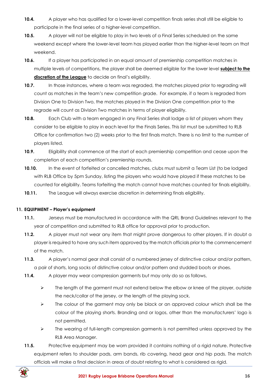- **10.4.** A player who has qualified for a lower-level competition finals series shall still be eligible to participate in the final series of a higher-level competition.
- **10.5.** A player will not be eligible to play in two levels of a Final Series scheduled on the same weekend except where the lower-level team has played earlier than the higher-level team on that weekend.
- **10.6.** If a player has participated in an equal amount of premiership competition matches in multiple levels of competitions, the player shall be deemed eligible for the lower level **subject to the discretion of the League** to decide on final's eligibility.
- **10.7.** In those instances, where a team was regraded, the matches played prior to regrading will count as matches in the team's new competition grade. For example, if a team is regraded from Division One to Division Two, the matches played in the Division One competition prior to the regrade will count as Division Two matches in terms of player eligibility.
- **10.8.** Each Club with a team engaged in any Final Series shall lodge a list of players whom they consider to be eligible to play in each level for the Finals Series. This list must be submitted to RLB Office for confirmation two (2) weeks prior to the first finals match. There is no limit to the number of players listed.
- **10.9.** Eligibility shall commence at the start of each premiership competition and cease upon the completion of each competition's premiership rounds.
- **10.10.** In the event of forfeited or cancelled matches, clubs must submit a Team List (to be lodged with RLB Office by 5pm Sunday, listing the players who would have played if these matches to be counted for eligibility. Teams forfeiting the match cannot have matches counted for finals eligibility.
- **10.11.** The League will always exercise discretion in determining finals eligibility.

## <span id="page-15-0"></span>**11. EQUIPMENT – Player's equipment**

- **11.1.** Jerseys must be manufactured in accordance with the QRL Brand Guidelines relevant to the year of competition and submitted to RLB office for approval prior to production.
- **11.2.** A player must not wear any item that might prove dangerous to other players. If in doubt a player is required to have any such item approved by the match officials prior to the commencement of the match.
- **11.3.** A player's normal gear shall consist of a numbered jersey of distinctive colour and/or pattern, a pair of shorts, long socks of distinctive colour and/or pattern and studded boots or shoes.
- **11.4.** A player may wear compression garments but may only do so as follows,
	- ➢ The length of the garment must not extend below the elbow or knee of the player, outside the neck/collar of the jersey, or the length of the playing sock.
	- $\triangleright$  The colour of the garment may only be black or an approved colour which shall be the colour of the playing shorts. Branding and or logos, other than the manufacturers' logo is not permitted.
	- ➢ The wearing of full-length compression garments is not permitted unless approved by the RLB Area Manager.
- **11.5.** Protective equipment may be worn provided it contains nothing of a rigid nature. Protective equipment refers to shoulder pads, arm bands, rib covering, head gear and hip pads. The match officials will make a final decision in areas of doubt relating to what is considered as rigid.

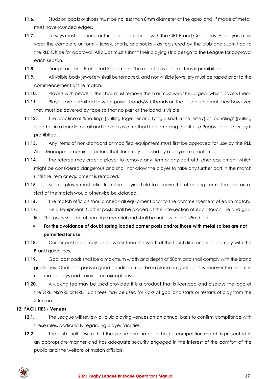- **11.6.** Studs on boots or shoes must be no less than 8mm diameter at the apex and, if made of metal, must have rounded edges.
- **11.7.** Jerseys must be manufactured in accordance with the QRL Brand Guidelines. All players must wear the complete uniform – jersey, shorts, and socks – as registered by the club and submitted to the RLB Office for approval. All clubs must submit their playing strip design to the League for approval each season.
- **11.8.** Dangerous and Prohibited Equipment: The use of gloves or mittens is prohibited.
- **11.9.** All visible body jewellery shall be removed, and non-visible jewellery must be taped prior to the commencement of the match.
- **11.10.** Players with beads in their hair must remove them or must wear head gear which covers them.
- **11.11.** Players are permitted to wear power bands/wristbands on the field during matches; however, they must be covered by tape so that no part of the band is visible.
- **11.12.** The practice of 'knotting' (pulling together and tying a knot in the jersey) or 'bundling' (pulling together in a bundle or tail and taping) as a method for tightening the fit of a Rugby League jersey is prohibited.
- **11.13.** Any items of non-standard or modified equipment must first be approved for use by the RLB Area Manager or nominee before that item may be used by a player in a match.
- **11.14.** The referee may order a player to remove any item or any part of his/her equipment which might be considered dangerous and shall not allow the player to take any further part in the match until the item or equipment is removed.
- **11.15.** Such a player must retire from the playing field to remove the offending item if the start or restart of the match would otherwise be delayed.
- **11.16.** The match officials should check all equipment prior to the commencement of each match.
- **11.17.** Field Equipment: Corner posts shall be placed at the intersection of each touch line and goal line. The posts shall be of non-rigid material and shall be not less than 1.25m high.
	- ➢ **For the avoidance of doubt spring loaded corner posts and/or those with metal spikes are not permitted for use.**
- **11.18.** Corner post pads may be no wider than the width of the touch line and shall comply with the Brand guidelines.
- **11.19.** Goal post pads shall be a maximum width and depth of 50cm and shall comply with the Brand guidelines. Goal post pads in good condition must be in place on goal posts whenever the field is in use, match days and training, no exceptions.
- **11.20.** A kicking tee may be used provided it is a product that is licenced and displays the logo of the QRL, NSWRL or NRL. Such tees may be used for kicks at goal and starts or restarts of play from the 50m line.

## <span id="page-16-0"></span>**12. FACILITIES - Venues**

- 12.1. The League will review all club playing venues on an annual basis to confirm compliance with these rules, particularly regarding player facilities.
- **12.2.** The club shall ensure that the venue nominated to host a competition match is presented in an appropriate manner and has adequate security engaged in the interest of the comfort of the public and the welfare of match officials.

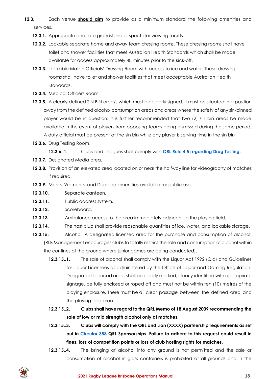- **12.3.** Each venue **should aim** to provide as a minimum standard the following amenities and services,
	- **12.3.1.** Appropriate and safe grandstand or spectator viewing facility.
	- **12.3.2.** Lockable separate home and away team dressing rooms. These dressing rooms shall have toilet and shower facilities that meet Australian Health Standards which shall be made available for access approximately 40 minutes prior to the kick-off.
	- **12.3.3.** Lockable Match Officials' Dressing Room with access to ice and water. These dressing rooms shall have toilet and shower facilities that meet acceptable Australian Health Standards.
	- **12.3.4.** Medical Officers Room.
	- **12.3.5.** A clearly defined SIN BIN area/s which must be clearly signed. It must be situated in a position away from the defined alcohol consumption areas and areas where the safety of any sin-binned player would be in question. It is further recommended that two (2) sin bin areas be made available in the event of players from opposing teams being dismissed during the same period; A duty official must be present at the sin bin while any player is serving time in the sin bin
	- **12.3.6.** Drug Testing Room,

**12.3.6..1.** Clubs and Leagues shall comply with **[QRL Rule 4.5 regarding Drug Testing.](https://www.qrl.com.au/contentassets/fe165f50b22a4557bddabb6ca8e9d0a2/qrl-rules-part-4.pdf)**

- **12.3.7.** Designated Media area.
- **12.3.8.** Provision of an elevated area located on or near the halfway line for videography of matches if required.
- **12.3.9.** Men's, Women's, and Disabled amenities available for public use.
- **12.3.10.** Separate canteen.
- **12.3.11.** Public address system.
- **12.3.12.** Scoreboard.
- **12.3.13.** Ambulance access to the area immediately adjacent to the playing field.
- **12.3.14.** The host club shall provide reasonable quantities of ice, water, and lockable storage.
- **12.3.15.** Alcohol: A designated licensed area for the purchase and consumption of alcohol; (RLB Management encourages clubs to totally restrict the sale and consumption of alcohol within the confines of the ground where junior games are being conducted).
	- **12.3.15..1.** The sale of alcohol shall comply with the Liquor Act 1992 (Qld) and Guidelines for Liquor Licensees as administered by the Office of Liquor and Gaming Regulation. Designated licenced areas shall be clearly marked, clearly identified with appropriate signage, be fully enclosed or roped off and must not be within ten (10) metres of the playing enclosure. There must be a clear passage between the defined area and the playing field area.
	- **12.3.15..2. Clubs shall have regard to the QRL Memo of 18 August 2009 recommending the sale of low or mid strength alcohol only at matches.**
	- **12.3.15..3. Clubs will comply with the QRL and Lion (XXXX) partnership requirements as set out in [Circular 358](https://781a37eb-2439-4df7-8027-996dae519650.filesusr.com/ugd/8b45a0_a9a1bf74b4cb4eb7835d50f9729ece9f.pdf) QRL Sponsorships. Failure to adhere to this request could result in fines, loss of competition points or loss of club hosting rights for matches.**
	- **12.3.15..4.** The bringing of alcohol into any ground is not permitted and the sale or consumption of alcohol in glass containers is prohibited at all grounds and in the

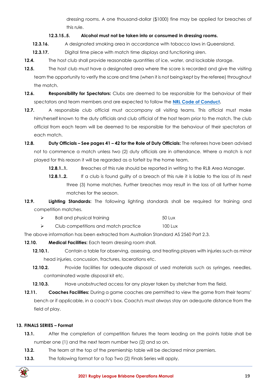dressing rooms. A one thousand-dollar (\$1000) fine may be applied for breaches of this rule.

## **12.3.15..5. Alcohol must not be taken into or consumed in dressing rooms.**

**12.3.16.** A designated smoking area in accordance with tobacco laws in Queensland.

- **12.3.17.** Digital time piece with match time displays and functioning siren.
- **12.4.** The host club shall provide reasonable quantities of ice, water, and lockable storage.
- 12.5. The host club must have a designated area where the score is recorded and give the visiting team the opportunity to verify the score and time (when it is not being kept by the referee) throughout the match.
- **12.6. Responsibility for Spectators:** Clubs are deemed to be responsible for the behaviour of their spectators and team members and are expected to follow the **[NRL Code of Conduct.](https://www.playrugbyleague.com/media/9949/2020nrl-dev19_code_of_conduct_v4.pdf)**
- **12.7.** A responsible club official must accompany all visiting teams. This official must make him/herself known to the duty officials and club official of the host team prior to the match. The club official from each team will be deemed to be responsible for the behaviour of their spectators at each match.
- **12.8. Duty Officials – See pages 41 – 42 for the Role of Duty Officials:** The referees have been advised not to commence a match unless two (2) duty officials are in attendance. Where a match is not played for this reason it will be regarded as a forfeit by the home team,
	- **12.8.1..1.** Breaches of this rule should be reported in writing to the RLB Area Manager.
	- **12.8.1..2.** If a club is found guilty of a breach of this rule it is liable to the loss of its next three (3) home matches. Further breaches may result in the loss of all further home matches for the season.
- **12.9. Lighting Standards:** The following lighting standards shall be required for training and competition matches.
	- ➢ Ball and physical training 50 Lux
	- ➢ Club competitions and match practice 100 Lux

The above information has been extracted from Australian Standard AS 2560 Part 2.3.

**12.10. Medical Facilities:** Each team dressing room shall.

- **12.10.1.** Contain a table for observing, assessing, and treating players with injuries such as minor head injuries, concussion, fractures, lacerations etc.
- **12.10.2.** Provide facilities for adequate disposal of used materials such as syringes, needles, contaminated waste disposal kit etc.
- **12.10.3.** Have unobstructed access for any player taken by stretcher from the field.
- **12.11. Coaches Facilities:** During a game coaches are permitted to view the game from their teams' bench or if applicable, in a coach's box. Coach/s must always stay an adequate distance from the field of play.

## <span id="page-18-0"></span>**13. FINALS SERIES – Format**

- **13.1.** After the completion of competition fixtures the team leading on the points table shall be number one (1) and the next team number two (2) and so on.
- **13.2.** The team at the top of the premiership table will be declared minor premiers.
- **13.3.** The following format for a Top Two (2) Finals Series will apply,

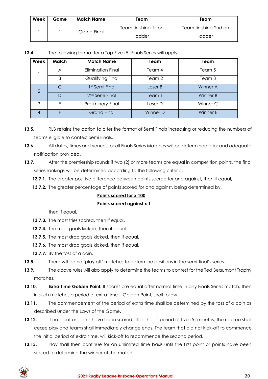| Week | Game | <b>Match Name</b> | Team                  | Team                  |
|------|------|-------------------|-----------------------|-----------------------|
|      |      | Grand Final       | Team finishing 1st on | Team finishing 2nd on |
|      |      |                   | ladder                | ladder                |

| 13.4. | The following format for a Top Five (5) Finals Series will apply, |
|-------|-------------------------------------------------------------------|
|-------|-------------------------------------------------------------------|

| Week          | Match  | <b>Match Name</b>          | Team     | Team     |
|---------------|--------|----------------------------|----------|----------|
|               | A      | <b>Elimination Final</b>   | Team 4   | Team 5   |
|               | B      | Qualifying Final           | Team 2   | Team 3   |
| $\mathcal{P}$ | C      | 1 <sup>st</sup> Semi Final | Loser B  | Winner A |
|               | $\Box$ | 2 <sup>nd</sup> Semi Final | Team 1   | Winner B |
| 3             | F      | <b>Preliminary Final</b>   | Loser D  | Winner C |
|               |        | <b>Grand Final</b>         | Winner D | Winner E |

- **13.5.** RLB retains the option to alter the format of Semi Finals increasing or reducing the numbers of teams eligible to contest Semi Finals.
- **13.6.** All dates, times and venues for all Finals Series Matches will be determined prior and adequate notification provided.
- **13.7.** After the premiership rounds if two (2) or more teams are equal in competition points, the final series rankings will be determined according to the following criteria.
	- **13.7.1.** The greater positive difference between points scored for and against, then if equal,
	- **13.7.2.** The greater percentage of points scored for and against, being determined by,

## **Points scored for x 100**

## **Points scored against x 1**

then if equal,

- **13.7.3.** The most tries scored, then if equal,
- **13.7.4.** The most goals kicked, then if equal
- **13.7.5.** The most drop goals kicked, then if equal,
- **13.7.6.** The most drop goals kicked, then if equal,
- **13.7.7.** By the toss of a coin.
- **13.8.** There will be no 'play off' matches to determine positions in the semi-final's series.
- **13.9.** The above rules will also apply to determine the teams to contest for the Ted Beaumont Trophy matches.
- **13.10. Extra Time Golden Point:** If scores are equal after normal time in any Finals Series match, then in such matches a period of extra time – Golden Point, shall follow.
- **13.11.** The commencement of the period of extra time shall be determined by the toss of a coin as described under the Laws of the Game.
- **13.12.** If no point or points have been scored after the 1st period of five (5) minutes, the referee shall cease play and teams shall immediately change ends. The team that did not kick-off to commence the initial period of extra time, will kick-off to recommence the second period.
- **13.13.** Play shall then continue for an unlimited time basis until the first point or points have been scored to determine the winner of the match.

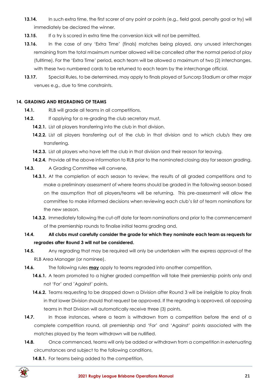- **13.14.** In such extra time, the first scorer of any point or points (e.g., field goal, penalty goal or try) will immediately be declared the winner.
- **13.15.** If a try is scored in extra time the conversion kick will not be permitted.
- **13.16.** In the case of any 'Extra Time' (finals) matches being played, any unused interchanges remaining from the total maximum number allowed will be cancelled after the normal period of play (fulltime). For the 'Extra Time' period, each team will be allowed a maximum of two (2) interchanges, with these two numbered cards to be returned to each team by the interchange official.
- **13.17.** Special Rules, to be determined, may apply to finals played at Suncorp Stadium or other major venues e.g., due to time constraints.

## <span id="page-20-0"></span>**14. GRADING AND REGRADING OF TEAMS**

- **14.1.** RLB will grade all teams in all competitions.
- **14.2.** If applying for a re-grading the club secretary must,
	- **14.2.1.** List all players transferring into the club in that division.
	- **14.2.2.** List all players transferring out of the club in that division and to which club/s they are transferring.
	- **14.2.3.** List all players who have left the club in that division and their reason for leaving.
	- 14.2.4. Provide all the above information to RLB prior to the nominated closing day for season grading.
- 14.3. A Grading Committee will convene,
	- **14.3.1.** At the completion of each season to review, the results of all graded competitions and to make a preliminary assessment of where teams should be graded in the following season based on the assumption that all players/teams will be returning. This pre-assessment will allow the committee to make informed decisions when reviewing each club's list of team nominations for the new season.
	- **14.3.2.** Immediately following the cut-off date for team nominations and prior to the commencement of the premiership rounds to finalise initial teams grading and,
- **14.4. All clubs must carefully consider the grade for which they nominate each team as requests for regrades after Round 3 will not be considered.**
- **14.5.** Any regrading that may be required will only be undertaken with the express approval of the RLB Area Manager (or nominee).
- **14.6.** The following rules **may** apply to teams regraded into another competition,
	- **14.6.1.** A team promoted to a higher graded competition will take their premiership points only and not 'For' and 'Against' points.
	- **14.6.2.** Teams requesting to be dropped down a Division after Round 3 will be ineligible to play finals in that lower Division should that request be approved. If the regrading is approved, all opposing teams in that Division will automatically receive three (3) points.
- **14.7.** In those instances, where a team is withdrawn from a competition before the end of a complete competition round, all premiership and 'For' and 'Against' points associated with the matches played by the team withdrawn will be nullified.
- **14.8.** Once commenced, teams will only be added or withdrawn from a competition in extenuating circumstances and subject to the following conditions,
	- 14.8.1. For teams being added to the competition,

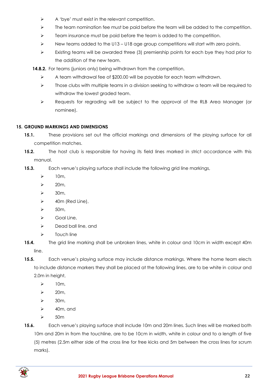- ➢ A 'bye' must exist in the relevant competition.
- $\triangleright$  The team nomination fee must be paid before the team will be added to the competition.
- $\triangleright$  Team insurance must be paid before the team is added to the competition.
- ➢ New teams added to the U13 U18 age group competitions will start with zero points.
- ➢ Existing teams will be awarded three (3) premiership points for each bye they had prior to the addition of the new team.
- **14.8.2.** For teams (juniors only) being withdrawn from the competition,
	- ➢ A team withdrawal fee of \$200.00 will be payable for each team withdrawn.
	- ➢ Those clubs with multiple teams in a division seeking to withdraw a team will be required to withdraw the lowest graded team.
	- ➢ Requests for regrading will be subject to the approval of the RLB Area Manager (or nominee).

## <span id="page-21-0"></span>**15. GROUND MARKINGS AND DIMENSIONS**

- **15.1.** These provisions set out the official markings and dimensions of the playing surface for all competition matches.
- **15.2.** The host club is responsible for having its field lines marked in strict accordance with this manual.
- **15.3.** Each venue's playing surface shall include the following grid line markings,
	- $\geq$  10m,
	- $\geq$  20m,
	- $\geq$  30m,
	- $\geq$  40m (Red Line),
	- $\geq$  50m,
	- $\triangleright$  Goal Line,
	- $\triangleright$  Dead ball line, and
	- ➢ Touch line
- **15.4.** The grid line marking shall be unbroken lines, white in colour and 10cm in width except 40m line.
- **15.5.** Each venue's playing surface may include distance markings. Where the home team elects to include distance markers they shall be placed at the following lines, are to be white in colour and 2.0m in height,
	- $\geq$  10m,
	- $\geq$  20m,
	- $\geq$  30m,
	- $\geq$  40m, and
	- ➢ 50m

**15.6.** Each venue's playing surface shall include 10m and 20m lines. Such lines will be marked both 10m and 20m in from the touchline, are to be 10cm in width, white in colour and to a length of five (5) metres (2.5m either side of the cross line for free kicks and 5m between the cross lines for scrum marks).

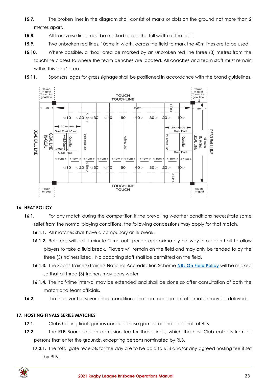- **15.7.** The broken lines in the diagram shall consist of marks or dots on the ground not more than 2 metres apart.
- **15.8.** All transverse lines must be marked across the full width of the field.
- **15.9.** Two unbroken red lines, 10cms in width, across the field to mark the 40m lines are to be used.
- **15.10.** Where possible, a 'box' area be marked by an unbroken red line three (3) metres from the touchline closest to where the team benches are located. All coaches and team staff must remain within this 'box' area.
- **15.11.** Sponsors logos for grass signage shall be positioned in accordance with the brand guidelines.



## <span id="page-22-0"></span>**16. HEAT POLICY**

- **16.1.** For any match during the competition if the prevailing weather conditions necessitate some relief from the normal playing conditions, the following concessions may apply for that match,
	- **16.1.1.** All matches shall have a compulsory drink break,
	- **16.1.2.** Referees will call 1-minute "time-out" period approximately halfway into each half to allow players to take a fluid break. Players will remain on the field and may only be tended to by the three (3) trainers listed. No coaching staff shall be permitted on the field,
	- **16.1.3.** The Sports Trainers/Trainers National Accreditation Scheme **[NRL On Field Policy](https://www.playrugbyleague.com/media/4916/nrl-on-field-policy_v4_0.pdf?_ga=2.200069165.285067718.1616240900-1105502845.1611784090)** will be relaxed so that all three (3) trainers may carry water
	- **16.1.4.** The half-time interval may be extended and shall be done so after consultation of both the match and team officials.
- **16.2.** If in the event of severe heat conditions, the commencement of a match may be delayed.

## <span id="page-22-1"></span>**17. HOSTING FINALS SERIES MATCHES**

- **17.1.** Clubs hosting finals games conduct these games for and on behalf of RLB.
- **17.2.** The RLB Board sets an admission fee for these finals, which the host Club collects from all persons that enter the grounds, excepting persons nominated by RLB.
	- **17.2.1.** The total gate receipts for the day are to be paid to RLB and/or any agreed hosting fee if set by RLB.

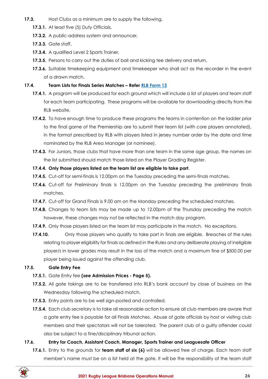- **17.3.** Host Clubs as a minimum are to supply the following,
	- **17.3.1.** At least five (5) Duty Officials,
	- **17.3.2.** A public-address system and announcer,
	- **17.3.3.** Gate staff,
	- **17.3.4.** A qualified Level 2 Sports Trainer,
	- **17.3.5.** Persons to carry out the duties of ball and kicking tee delivery and return,
	- **17.3.6.** Suitable timekeeping equipment and timekeeper who shall act as the recorder in the event of a drawn match.

## **17.4. Team Lists for Finals Series Matches – Refer [RLB Form 13](https://www.rugbyleaguebrisbane.com.au/documents-policies)**

- **17.4.1.** A program will be produced for each ground which will include a list of players and team staff for each team participating. These programs will be available for downloading directly from the RLB website.
- **17.4.2.** To have enough time to produce these programs the teams in contention on the ladder prior to the final game of the Premiership are to submit their team list (with core players annotated), in the format prescribed by RLB with players listed in jersey number order by the date and time nominated by the RLB Area Manager (or nominee).
- **17.4.3.** For Juniors, those clubs that have more than one team in the same age group, the names on the list submitted should match those listed on the Player Grading Register.

## **17.4.4. Only those players listed on the team list are eligible to take part**.

- **17.4.5.** Cut-off for semi-finals is 12.00pm on the Tuesday preceding the semi-finals matches.
- **17.4.6.** Cut-off for Preliminary finals is 12.00pm on the Tuesday preceding the preliminary finals matches.
- **17.4.7.** Cut-off for Grand Finals is 9.00 am on the Monday preceding the scheduled matches.
- **17.4.8.** Changes to team lists may be made up to 12.00pm of the Thursday preceding the match however, these changes may not be reflected in the match day program.
- **17.4.9.** Only those players listed on the team list may participate in the match. No exceptions.
- **17.4.10.** Only those players who qualify to take part in finals are eligible. Breaches of the rules relating to player eligibility for finals as defined in the Rules and any deliberate playing of ineligible player/s in lower grades may result in the loss of the match and a maximum fine of \$500.00 per player being issued against the offending club.

## **17.5. Gate Entry Fee**

## **17.5.1.** Gate Entry fee **(see Admission Prices - Page 5).**

- **17.5.2.** All gate takings are to be transferred into RLB's bank account by close of business on the Wednesday following the scheduled match.
- **17.5.3.** Entry points are to be well sign-posted and controlled.
- **17.5.4.** Each club secretary is to take all reasonable action to ensure all club members are aware that a gate entry fee is payable for all Finals Matches. Abuse of gate officials by host or visiting club members and their spectators will not be tolerated. The parent club of a guilty offender could also be subject to a fine/disciplinary tribunal action.

## **17.6. Entry for Coach, Assistant Coach, Manager, Sports Trainer and Leaguesafe Officer**

**17.6.1.** Entry to the grounds for **team staff of six (6)** will be allowed free of charge. Each team staff member's name must be on a list held at the gate. It will be the responsibility of the team staff

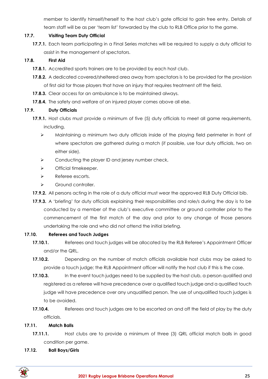member to identify himself/herself to the host club's gate official to gain free entry. Details of team staff will be as per 'team list' forwarded by the club to RLB Office prior to the game.

## **17.7. Visiting Team Duty Official**

**17.7.1.** Each team participating in a Final Series matches will be required to supply a duty official to assist in the management of spectators.

## **17.8. First Aid**

- **17.8.1.** Accredited sports trainers are to be provided by each host club.
- **17.8.2.** A dedicated covered/sheltered area away from spectators is to be provided for the provision of first aid for those players that have an injury that requires treatment off the field.
- **17.8.3.** Clear access for an ambulance is to be maintained always.
- **17.8.4.** The safety and welfare of an injured player comes above all else.

## **17.9. Duty Officials**

- **17.9.1.** Host clubs must provide a minimum of five (5) duty officials to meet all game requirements, including,
	- ➢ Maintaining a minimum two duty officials inside of the playing field perimeter in front of where spectators are gathered during a match (if possible, use four duty officials, two on either side).
	- ➢ Conducting the player ID and jersey number check,
	- ➢ Official timekeeper.
	- ➢ Referee escorts.
	- ➢ Ground controller.
- **17.9.2.** All persons acting in the role of a duty official must wear the approved RLB Duty Official bib.
- **17.9.3.** A 'briefing' for duty officials explaining their responsibilities and role/s during the day is to be conducted by a member of the club's executive committee or ground controller prior to the commencement of the first match of the day and prior to any change of those persons undertaking the role and who did not attend the initial briefing.

## **17.10. Referees and Touch Judges**

- **17.10.1.** Referees and touch judges will be allocated by the RLB Referee's Appointment Officer and/or the QRL.
- **17.10.2.** Depending on the number of match officials available host clubs may be asked to provide a touch judge; the RLB Appointment officer will notify the host club if this is the case.
- **17.10.3.** In the event touch judges need to be supplied by the host club, a person qualified and registered as a referee will have precedence over a qualified touch judge and a qualified touch judge will have precedence over any unqualified person. The use of unqualified touch judges is to be avoided.
- **17.10.4.** Referees and touch judges are to be escorted on and off the field of play by the duty officials.

## **17.11. Match Balls**

- **17.11.1.** Host clubs are to provide a minimum of three (3) QRL official match balls in good condition per game.
- **17.12. Ball Boys/Girls**

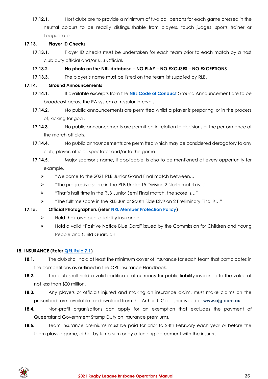**17.12.1.** Host clubs are to provide a minimum of two ball persons for each game dressed in the neutral colours to be readily distinguishable from players, touch judges, sports trainer or Leaguesafe.

## **17.13. Player ID Checks**

**17.13.1.** Player ID checks must be undertaken for each team prior to each match by a host club duty official and/or RLB Official.

## **17.13.2. No photo on the NRL database – NO PLAY – NO EXCUSES – NO EXCEPTIONS**

**17.13.3.** The player's name must be listed on the team list supplied by RLB.

## **17.14. Ground Announcements**

- **17.14.1.** If available excerpts from the **[NRL Code of Conduct](https://www.playrugbyleague.com/media/9949/2020nrl-dev19_code_of_conduct_v4.pdf)** Ground Announcement are to be broadcast across the PA system at regular intervals.
- **17.14.2.** No public announcements are permitted whilst a player is preparing, or in the process of, kicking for goal.
- **17.14.3.** No public announcements are permitted in relation to decisions or the performance of the match officials.
- **17.14.4.** No public announcements are permitted which may be considered derogatory to any club, player, official, spectator and/or to the game.
- **17.14.5.** Major sponsor's name, if applicable, is also to be mentioned at every opportunity for example,
	- ➢ "Welcome to the 2021 RLB Junior Grand Final match between…"
	- ➢ "The progressive score in the RLB Under 15 Division 2 North match is…"
	- ➢ "That's half time in the RLB Junior Semi Final match, the score is…"
	- ➢ "The fulltime score in the RLB Junior South Side Division 2 Preliminary Final is…"

## **17.15. Official Photographers (refer [NRL Member Protection Policy\)](https://www.playrugbyleague.com/media/1939/nrl-member-protection-policy-revised-27072015-002.pdf)**

- $\triangleright$  Hold their own public liability insurance,
- ➢ Hold a valid "Positive Notice Blue Card" issued by the Commission for Children and Young People and Child Guardian.

## <span id="page-25-0"></span>**18. INSURANCE (Refer [QRL Rule 7.1\)](https://www.qrl.com.au/contentassets/c93b268ffed34cb790b4dadc5b7bb498/part-7-revised-16-november-2017---miscellaneous-rugby-league-football-matters.pdf)**

- **18.1.** The club shall hold at least the minimum cover of insurance for each team that participates in the competitions as outlined in the QRL Insurance Handbook.
- **18.2.** The club shall hold a valid certificate of currency for public liability insurance to the value of not less than \$20 million.
- **18.3.** Any players or officials injured and making an insurance claim, must make claims on the prescribed form available for download from the Arthur J. Gallagher website; **www.ajg.com.au**
- **18.4.** Non-profit organisations can apply for an exemption that excludes the payment of Queensland Government Stamp Duty on insurance premiums.
- **18.5.** Team insurance premiums must be paid for prior to 28th February each year or before the team plays a game, either by lump sum or by a funding agreement with the insurer.

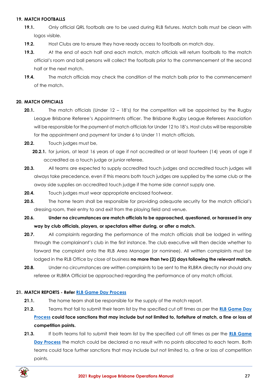#### <span id="page-26-0"></span>**19. MATCH FOOTBALLS**

- **19.1.** Only official QRL footballs are to be used during RLB fixtures. Match balls must be clean with logos visible.
- **19.2.** Host Clubs are to ensure they have ready access to footballs on match day.
- **19.3.** At the end of each half and each match, match officials will return footballs to the match official's room and ball persons will collect the footballs prior to the commencement of the second half or the next match.
- **19.4.** The match officials may check the condition of the match balls prior to the commencement of the match.

## <span id="page-26-1"></span>**20. MATCH OFFICIALS**

- **20.1.** The match officials (Under 12 18's) for the competition will be appointed by the Rugby League Brisbane Referee's Appointments officer. The Brisbane Rugby League Referees Association will be responsible for the payment of match officials for Under 12 to 18's. Host clubs will be responsible for the appointment and payment for Under 6 to Under 11 match officials.
- **20.2.** Touch judges must be,
	- **20.2.1.** for juniors, at least 16 years of age if not accredited or at least fourteen (14) years of age if accredited as a touch judge or junior referee.
- **20.3.** All teams are expected to supply accredited touch judges and accredited touch judges will always take precedence, even if this means both touch judges are supplied by the same club or the away side supplies an accredited touch judge if the home side cannot supply one.
- **20.4.** Touch judges must wear appropriate enclosed footwear.
- **20.5.** The home team shall be responsible for providing adequate security for the match official's dressing room, their entry to and exit from the playing field and venue.
- **20.6. Under no circumstances are match officials to be approached, questioned, or harassed in any way by club officials, players, or spectators either during, or after a match.**
- **20.7.** All complaints regarding the performance of the match officials shall be lodged in writing through the complainant's club in the first instance. The club executive will then decide whether to forward the complaint onto the RLB Area Manager (or nominee). All written complaints must be lodged in the RLB Office by close of business **no more than two (2) days following the relevant match.**
- **20.8.** Under no circumstances are written complaints to be sent to the RLBRA directly nor should any referee or RLBRA Official be approached regarding the performance of any match official.

## <span id="page-26-2"></span>**21. MATCH REPORTS - Refer [RLB Game Day Process](https://www.rugbyleaguebrisbane.com.au/documents-policies)**

- **21.1.** The home team shall be responsible for the supply of the match report.
- **21.2.** Teams that fail to submit their team list by the specified cut off times as per the **[RLB Game Day](https://www.rugbyleaguebrisbane.com.au/documents-policies)  [Process](https://www.rugbyleaguebrisbane.com.au/documents-policies) could face sanctions that may include but not limited to, forfeiture of match, a fine or loss of competition points.**
- **21.3.** If both teams fail to submit their team list by the specified cut off times as per the **[RLB Game](https://www.rugbyleaguebrisbane.com.au/documents-policies)  [Day Process](https://www.rugbyleaguebrisbane.com.au/documents-policies)** the match could be declared a no result with no points allocated to each team. Both teams could face further sanctions that may include but not limited to, a fine or loss of competition points.

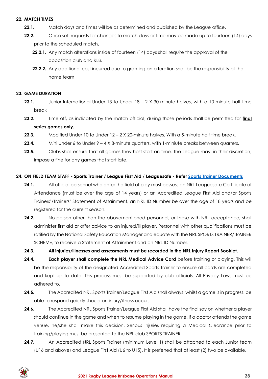#### <span id="page-27-0"></span>**22. MATCH TIMES**

- **22.1.** Match days and times will be as determined and published by the League office.
- **22.2.** Once set, requests for changes to match days or time may be made up to fourteen (14) days prior to the scheduled match,
	- **22.2.1.** Any match alterations inside of fourteen (14) days shall require the approval of the opposition club and RLB.
	- **22.2.2.** Any additional cost incurred due to granting an alteration shall be the responsibility of the home team

#### <span id="page-27-1"></span>**23. GAME DURATION**

- **23.1.** Junior International Under 13 to Under 18 2 X 30-minute halves, with a 10-minute half time break
- **23.2.** Time off, as indicated by the match official, during those periods shall be permitted for **final series games only.**
- **23.3.** Modified Under 10 to Under 12 2 X 20-minute halves. With a 5-minute half time break.
- **23.4.** Mini Under 6 to Under 9 4 X 8-minute quarters, with 1-miniute breaks between quarters.
- **23.5.** Clubs shall ensure that all games they host start on time. The League may, in their discretion, impose a fine for any games that start late.

#### <span id="page-27-2"></span>**24. ON FIELD TEAM STAFF - Sports Trainer / League First Aid / Leaguesafe - Refer [Sports Trainer Documents](https://www.playrugbyleague.com/trainer/documents/?_ga=2.37146659.285067718.1616240900-1105502845.1611784090)**

- 24.1. All official personnel who enter the field of play must possess an NRL Leaguesafe Certificate of Attendance (must be over the age of 14 years) or an Accredited League First Aid and/or Sports Trainers'/Trainers' Statement of Attainment, an NRL ID Number be over the age of 18 years and be registered for the current season.
- **24.2.** No person other than the abovementioned personnel, or those with NRL acceptance, shall administer first aid or offer advice to an injured/ill player. Personnel with other qualifications must be ratified by the National Safety Education Manager and equate with the NRL SPORTS TRAINER/TRAINER SCHEME, to receive a Statement of Attainment and an NRL ID Number.

#### **24.3. All injuries/illnesses and assessments must be recorded in the NRL Injury Report Booklet.**

- **24.4. Each player shall complete the NRL Medical Advice Card** before training or playing. This will be the responsibility of the designated Accredited Sports Trainer to ensure all cards are completed and kept up to date. This process must be supported by club officials. All Privacy Laws must be adhered to.
- **24.5.** The Accredited NRL Sports Trainer/League First Aid shall always, whilst a game is in progress, be able to respond quickly should an injury/illness occur.
- **24.6.** The Accredited NRL Sports Trainer/League First Aid shall have the final say on whether a player should continue in the game and when to resume playing in the game. If a doctor attends the game venue, he/she shall make this decision. Serious injuries requiring a Medical Clearance prior to training/playing must be presented to the NRL club SPORTS TRAINER.
- 24.7. An Accredited NRL Sports Trainer (minimum Level 1) shall be attached to each Junior team (U16 and above) and League First Aid (U6 to U15). It is preferred that at least (2) two be available.

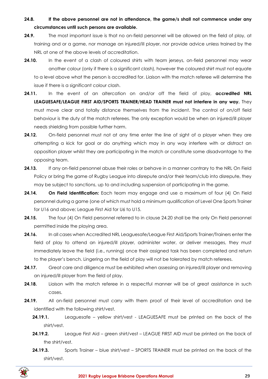- **24.8. If the above personnel are not in attendance, the game/s shall not commence under any circumstances until such persons are available.**
- **24.9.** The most important issue is that no on-field personnel will be allowed on the field of play, at training and or a game, nor manage an injured/ill player, nor provide advice unless trained by the NRL at one of the above levels of accreditation.
- **24.10.** In the event of a clash of coloured shirts with team jerseys, on-field personnel may wear another colour (only if there is a significant clash), however the coloured shirt must not equate to a level above what the person is accredited for. Liaison with the match referee will determine the issue if there is a significant colour clash.
- **24.11.** In the event of an altercation on and/or off the field of play, **accredited NRL LEAGUESAFE/LEAGUE FIRST AID/SPORTS TRAINER/HEAD TRAINER must not interfere in any way.** They must move clear and totally distance themselves from the incident. The control of on/off field behaviour is the duty of the match referees. The only exception would be when an injured/ill player needs shielding from possible further harm.
- **24.12.** On-field personnel must not at any time enter the line of sight of a player when they are attempting a kick for goal or do anything which may in any way interfere with or distract an opposition player whilst they are participating in the match or constitute some disadvantage to the opposing team.
- **24.13.** If any on-field personnel abuse their roles or behave in a manner contrary to the NRL On Field Policy or bring the game of Rugby League into disrepute and/or their team/club into disrepute, they may be subject to sanctions, up to and including suspension of participating in the game.
- **24.14. On Field Identification:** Each team may engage and use a maximum of four (4) On Field personnel during a game (one of which must hold a minimum qualification of Level One Sports Trainer for U16 and above; League First Aid for U6 to U15.
- **24.15.** The four (4) On Field personnel referred to in clause 24.20 shall be the only On Field personnel permitted inside the playing area.
- 24.16. In all cases when Accredited NRL Leaguesafe/League First Aid/Sports Trainer/Trainers enter the field of play to attend an injured/ill player, administer water, or deliver messages, they must immediately leave the field (i.e., running) once their assigned task has been completed and return to the player's bench. Lingering on the field of play will not be tolerated by match referees.
- **24.17.** Great care and diligence must be exhibited when assessing an injured/ill player and removing an injured/ill player from the field of play.
- **24.18.** Liaison with the match referee in a respectful manner will be of great assistance in such cases.
- **24.19.** All on-field personnel must carry with them proof of their level of accreditation and be identified with the following shirt/vest.
	- **24.19.1.** Leaguesafe yellow shirt/vest LEAGUESAFE must be printed on the back of the shirt/vest.
	- **24.19.2.** League First Aid green shirt/vest LEAGUE FIRST AID must be printed on the back of the shirt/vest.
	- **24.19.3.** Sports Trainer blue shirt/vest SPORTS TRAINER must be printed on the back of the shirt/vest.

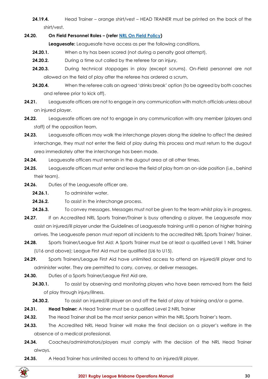**24.19.4.** Head Trainer – orange shirt/vest – HEAD TRAINER must be printed on the back of the shirt/vest.

## **24.20. On Field Personnel Roles – (refer [NRL On Field Policy\)](https://www.playrugbyleague.com/media/4916/nrl-on-field-policy_v4_0.pdf?_ga=2.200069165.285067718.1616240900-1105502845.1611784090)**

**Leaguesafe:** Leaguesafe have access as per the following conditions,

- **24.20.1.** When a try has been scored (not during a penalty goal attempt),
- **24.20.2.** During a time out called by the referee for an injury,
- **24.20.3.** During technical stoppages in play (except scrums). On-Field personnel are not allowed on the field of play after the referee has ordered a scrum,
- **24.20.4.** When the referee calls an agreed 'drinks break' option (to be agreed by both coaches and referee prior to kick off).
- **24.21.** Leaguesafe officers are not to engage in any communication with match officials unless about an injured player.
- **24.22.** Leaguesafe officers are not to engage in any communication with any member (players and staff) of the opposition team.
- **24.23.** Leaguesafe officers may walk the interchange players along the sideline to affect the desired interchange, they must not enter the field of play during this process and must return to the dugout area immediately after the interchange has been made.
- **24.24.** Leaguesafe officers must remain in the dugout area at all other times.
- **24.25.** Leaguesafe officers must enter and leave the field of play from an on-side position (i.e., behind their team).
- **24.26.** Duties of the Leaguesafe officer are,
	- **24.26.1.** To administer water.
	- **24.26.2.** To assist in the interchange process.
	- **24.26.3.** To convey messages. Messages must not be given to the team whilst play is in progress.
- 24.27. If an Accredited NRL Sports Trainer/Trainer is busy attending a player, the Leaguesafe may assist an injured/ill player under the Guidelines of Leaguesafe training until a person of higher training arrives. The Leaguesafe person must report all incidents to the accredited NRL Sports Trainer/ Trainer.
- **24.28.** Sports Trainer/League first Aid: A Sports Trainer must be at least a qualified Level 1 NRL Trainer (U16 and above); League First Aid must be qualified (U6 to U15).
- **24.29.** Sports Trainers/League First Aid have unlimited access to attend an injured/ill player and to administer water. They are permitted to carry, convey, or deliver messages.
- **24.30.** Duties of a Sports Trainer/League First Aid are,
	- **24.30.1.** To assist by observing and monitoring players who have been removed from the field of play through injury/illness.
	- **24.30.2.** To assist an injured/ill player on and off the field of play at training and/or a game.
- **24.31. Head Trainer:** A Head Trainer must be a qualified Level 2 NRL Trainer
- 24.32. The Head Trainer shall be the most senior person within the NRL Sports Trainer's team.
- **24.33.** The Accredited NRL Head Trainer will make the final decision on a player's welfare in the absence of a medical professional.
- **24.34.** Coaches/administrators/players must comply with the decision of the NRL Head Trainer always.
- **24.35.** A Head Trainer has unlimited access to attend to an injured/ill player.

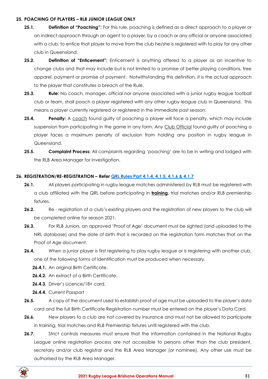#### <span id="page-30-0"></span>**25. POACHING OF PLAYERS – RLB JUNIOR LEAGUE ONLY**

- **25.1. Definition of "Poaching":** For this rule, poaching is defined as a direct approach to a player or an indirect approach through an agent to a player, by a coach or any official or anyone associated with a club, to entice that player to move from the club he/she is registered with to play for any other club in Queensland.
- **25.2. Definition of "Enticement":** Enticement is anything offered to a player as an incentive to change clubs and that may include but is not limited to a promise of better playing conditions, free apparel, payment or promise of payment. Notwithstanding this definition, it is the actual approach to the player that constitutes a breach of the Rule.
- **25.3. Rule:** No coach, manager, official nor anyone associated with a junior rugby league football club or team, shall poach a player registered with any other rugby league club in Queensland. This means a player currently registered or registered in the immediate past season.
- **25.4. Penalty:** A coach found guilty of poaching a player will face a penalty, which may include suspension from participating in the game in any form. Any Club Official found guilty of poaching a player faces a maximum penalty of exclusion from holding any position in rugby league in Queensland.
- **25.5. Complaint Process:** All complaints regarding 'poaching' are to be in writing and lodged with the RLB Area Manager for investigation.

## <span id="page-30-1"></span>**26. REGISTRATION/RE-REGISTRATION – Refer [QRL Rules Part 4.1.4, 4.1.5, 4.1.6 & 4.1.7](https://www.qrl.com.au/contentassets/fe165f50b22a4557bddabb6ca8e9d0a2/qrl-rules-part-4.pdf)**

- **26.1.** All players participating in rugby league matches administered by RLB must be registered with a club affiliated with the QRL before participating in **training**, trial matches and/or RLB premiership fixtures.
- **26.2.** Re registration of a club's existing players and the registration of new players to the club will be completed online for season 2021.
- **26.3.** For RLB Juniors, an approved 'Proof of Age' document must be sighted (and uploaded to the NRL database) and the date of birth that is recorded on the registration form matches that on the Proof of Age document.
- **26.4.** When a junior player is first registering to play rugby league or is registering with another club, one of the following forms of identification must be produced when necessary.
	- 26.4.1. An original Birth Certificate.
	- **26.4.2.** An extract of a Birth Certificate.
	- **26.4.3.** Driver's Licence/18+ card.
	- **26.4.4.** Current Passport
- **26.5.** A copy of the document used to establish proof of age must be uploaded to the player's data card and the full Birth Certificate Registration number must be entered on the player's Data Card.
- **26.6.** New players to a club are not covered by insurance and must not be allowed to participate in training, trial matches and RLB Premiership fixtures until registered with the club.
- **26.7.** Strict controls measures must ensure that the information contained in the National Rugby League online registration process are not accessible to persons other than the club president, secretary and/or club registrar and the RLB Area Manager (or nominee). Any other use must be authorised by the RLB Area Manager.

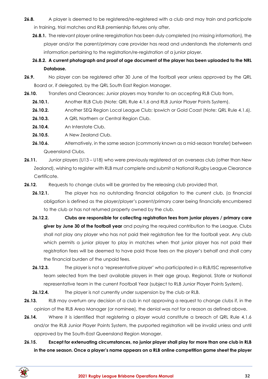- **26.8.** A player is deemed to be registered/re-registered with a club and may train and participate in training, trial matches and RLB premiership fixtures only after,
	- **26.8.1.** The relevant player online reregistration has been duly completed (no missing information), the player and/or the parent/primary care provider has read and understands the statements and information pertaining to the registration/re-registration of a junior player.
	- **26.8.2. A current photograph and proof of age document of the player has been uploaded to the NRL Database.**
- **26.9.** No player can be registered after 30 June of the football year unless approved by the QRL Board or, if delegated, by the QRL South East Region Manager.
- 26.10. Transfers and Clearances: Junior players may transfer to an accepting RLB Club from,
	- **26.10.1.** Another RLB Club (Note: QRL Rule 4.1.6 and RLB Junior Player Points System).
	- **26.10.2.** Another SEQ Region Local League Club; Ipswich or Gold Coast (Note: QRL Rule 4.1.6).
	- **26.10.3.** A QRL Northern or Central Region Club.
	- **26.10.4.** An Interstate Club.
	- **26.10.5.** A New Zealand Club.
	- **26.10.6.** Alternatively, in the same season (commonly known as a mid-season transfer) between Queensland Clubs.
- **26.11.** Junior players (U13 U18) who were previously registered at an overseas club (other than New Zealand), wishing to register with RLB must complete and submit a National Rugby League Clearance Certificate.
- **26.12.** Requests to change clubs will be granted by the releasing club provided that,
	- **26.12.1.** The player has no outstanding financial obligation to the current club, (a financial obligation is defined as the player/player's parent/primary carer being financially encumbered to the club or has not returned property owned by the club.
	- **26.12.2. Clubs are responsible for collecting registration fees from junior players / primary care giver by June 30 of the football year** and paying the required contribution to the League. Clubs shall not play any player who has not paid their registration fee for the football year. Any club which permits a junior player to play in matches when that junior player has not paid their registration fees will be deemed to have paid those fees on the player's behalf and shall carry the financial burden of the unpaid fees.
	- **26.12.3.** The player is not a 'representative player' who participated in a RLB/ISC representative team selected from the best available players in their age group, Regional, State or National representative team in the current Football Year (subject to RLB Junior Player Points System).
	- **26.12.4.** The player is not currently under suspension by the club or RLB.
- **26.13.** RLB may overturn any decision of a club in not approving a request to change clubs if, in the opinion of the RLB Area Manager (or nominee), the denial was not for a reason as defined above.
- **26.14.** Where it is identified that registering a player would constitute a breach of QRL Rule 4.1.6 and/or the RLB Junior Player Points System, the purported registration will be invalid unless and until approved by the South-East Queensland Region Manager.
- **26.15. Except for extenuating circumstances, no junior player shall play for more than one club in RLB in the one season. Once a player's name appears on a RLB online competition game sheet the player**

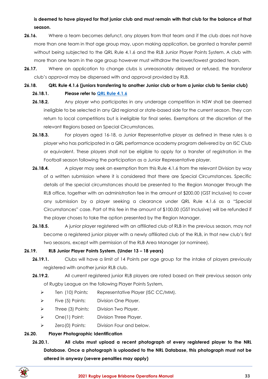**is deemed to have played for that junior club and must remain with that club for the balance of that season.**

- **26.16.** Where a team becomes defunct, any players from that team and if the club does not have more than one team in that age group may, upon making application, be granted a transfer permit without being subjected to the QRL Rule 4.1.6 and the RLB Junior Player Points System. A club with more than one team in the age group however must withdraw the lower/lowest graded team.
- **26.17.** Where an application to change clubs is unreasonably delayed or refused, the transferor club's approval may be dispensed with and approval provided by RLB.

**26.18. QRL Rule 4.1.6 (juniors transferring to another Junior club or from a junior club to Senior club)**

## **26.18.1. Please refer to [QRL Rule 4.1.6](https://www.qrl.com.au/contentassets/fe165f50b22a4557bddabb6ca8e9d0a2/qrl-rules-part-4.pdf)**

- **26.18.2.** Any player who participates in any underage competition in NSW shall be deemed ineligible to be selected in any Qld regional or state-based side for the current season. They can return to local competitions but is ineligible for final series. Exemptions at the discretion of the relevant Regions based on Special Circumstances.
- **26.18.3.** For players aged 16-18, a Junior Representative player as defined in these rules is a player who has participated in a QRL performance academy program delivered by an ISC Club or equivalent. These players shall not be eligible to apply for a transfer of registration in the Football season following the participation as a Junior Representative player.
- **26.18.4.** A player may seek an exemption from this Rule 4.1.6 from the relevant Division by way of a written submission where it is considered that there are Special Circumstances. Specific details of the special circumstances should be presented to the Region Manager through the RLB office, together with an administration fee in the amount of \$200.00 (GST Inclusive) to cover any submission by a player seeking a clearance under QRL Rule 4.1.6 as a "Special Circumstances" case. Part of this fee in the amount of \$100.00 (GST Inclusive) will be refunded if the player choses to take the option presented by the Region Manager.
- **26.18.5.** A junior player registered with an affiliated club of RLB in the previous season, may not become a registered junior player with a newly affiliated club of the RLB, in that new club's first two seasons, except with permission of the RLB Area Manager (or nominee).

## **26.19. RLB Junior Player Points System. (Under 13 – 18 years)**

- **26.19.1.** Clubs will have a limit of 14 Points per age group for the intake of players previously registered with another junior RLB club.
- **26.19.2.** All current registered junior RLB players are rated based on their previous season only of Rugby League on the following Player Points System,
	- ➢ Ten (10) Points: Representative Player (ISC CC/MM).
	- ➢ Five (5) Points: Division One Player.
	- ➢ Three (3) Points: Division Two Player.
	- ➢ One(1) Point: Division Three Player.
	- ➢ Zero(0) Points: Division Four and below.

## **26.20. Player Photographic Identification**

**26.20.1. All clubs must upload a recent photograph of every registered player to the NRL Database. Once a photograph is uploaded to the NRL Database, this photograph must not be altered in anyway (severe penalties may apply)**

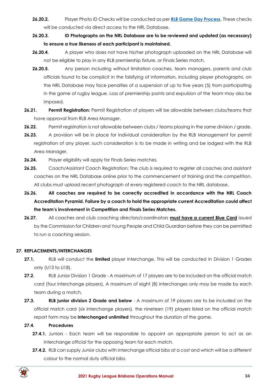- **26.20.2.** Player Photo ID Checks will be conducted as per **[RLB Game Day Process](https://www.rugbyleaguebrisbane.com.au/documents-policies)**. These checks will be conducted via direct access to the NRL Database.
- **26.20.3. ID Photographs on the NRL Database are to be reviewed and updated (as necessary) to ensure a true likeness of each participant is maintained.**
- **26.20.4.** A player who does not have his/her photograph uploaded on the NRL Database will not be eligible to play in any RLB premiership fixture, or Finals Series match.
- **26.20.5.** Any person including without limitation coaches, team managers, parents and club officials found to be complicit in the falsifying of information, including player photographs, on the NRL Database may face penalties of a suspension of up to five years (5) from participating in the game of rugby league. Loss of premiership points and expulsion of the team may also be imposed.
- **26.21. Permit Registration:** Permit Registration of players will be allowable between clubs/teams that have approval from RLB Area Manager.
- **26.22.** Permit registration is not allowable between clubs / teams playing in the same division / grade.
- **26.23.** A provision will be in place for individual consideration by the RLB Management for permit registration of any player, such consideration is to be made in writing and be lodged with the RLB Area Manager.
- **26.24.** Player eligibility will apply for Finals Series matches.
- **26.25.** Coach/Assistant Coach Registration: The club is required to register all coaches and assistant coaches on the NRL Database online prior to the commencement of training and the competition. All clubs must upload recent photograph of every registered coach to the NRL database.
- **26.26. All coaches are required to be correctly accredited in accordance with the NRL Coach Accreditation Pyramid. Failure by a coach to hold the appropriate current Accreditation could affect the team's involvement in Competition and Finals Series Matches.**
- **26.27.** All coaches and club coaching directors/coordinators **must have a current Blue Card** issued by the Commission for Children and Young People and Child Guardian before they can be permitted to run a coaching session.

## <span id="page-33-0"></span>**27. REPLACEMENTS/INTERCHANGES**

- **27.1.** RLB will conduct the **limited** player interchange. This will be conducted in Division 1 Grades only (U13 to U18).
- **27.2.** RLB Junior Division 1 Grade A maximum of 17 players are to be included on the official match card (four interchange players). A maximum of eight (8) interchanges only may be made by each team during a match.
- **27.3. RLB junior division 2 Grade and below** A maximum of 19 players are to be included on the official match card (six interchange players). the nineteen (19) players listed on the official match report form may be **interchanged unlimited** throughout the duration of the game.

## **27.4. Procedures**

- **27.4.1.** Juniors Each team will be responsible to appoint an appropriate person to act as an interchange official for the opposing team for each match.
- **27.4.2.** RLB can supply Junior clubs with interchange official bibs at a cost and which will be a different colour to the normal duty official bibs.

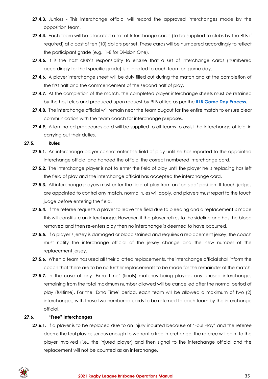- **27.4.3.** Juniors This interchange official will record the approved interchanges made by the opposition team.
- **27.4.4.** Each team will be allocated a set of Interchange cards (to be supplied to clubs by the RLB if required) at a cost of ten (10) dollars per set. These cards will be numbered accordingly to reflect the participant grade (e.g., 1-8 for Division One).
- **27.4.5.** It is the host club's responsibility to ensure that a set of interchange cards (numbered accordingly for that specific grade) is allocated to each team on game day.
- **27.4.6.** A player interchange sheet will be duly filled out during the match and at the completion of the first half and the commencement of the second half of play.
- 27.4.7. At the completion of the match, the completed player interchange sheets must be retained by the host club and produced upon request by RLB office as per the **[RLB Game Day Process.](https://www.rugbyleaguebrisbane.com.au/documents-policies)**
- **27.4.8.** The interchange official will remain near the team dugout for the entire match to ensure clear communication with the team coach for interchange purposes.
- 27.4.9. A laminated procedures card will be supplied to all teams to assist the interchange official in carrying out their duties.

#### **27.5. Rules**

- **27.5.1.** An interchange player cannot enter the field of play until he has reported to the appointed interchange official and handed the official the correct numbered interchange card.
- **27.5.2.** The interchange player is not to enter the field of play until the player he is replacing has left the field of play and the interchange official has accepted the interchange card.
- 27.5.3. All interchange players must enter the field of play from an 'on side' position. If touch judges are appointed to control any match, normal rules will apply, and players must report to the touch judge before entering the field.
- **27.5.4.** If the referee requests a player to leave the field due to bleeding and a replacement is made this will constitute an interchange. However, if the player retires to the sideline and has the blood removed and then re-enters play then no interchange is deemed to have occurred.
- **27.5.5.** If a player's jersey is damaged or blood stained and requires a replacement jersey, the coach must notify the interchange official of the jersey change and the new number of the replacement jersey.
- **27.5.6.** When a team has used all their allotted replacements, the interchange official shall inform the coach that there are to be no further replacements to be made for the remainder of the match.
- **27.5.7.** In the case of any 'Extra Time' (finals) matches being played, any unused interchanges remaining from the total maximum number allowed will be cancelled after the normal period of play (fulltime). For the 'Extra Time' period, each team will be allowed a maximum of two (2) interchanges, with these two numbered cards to be returned to each team by the interchange official.

#### **27.6. "Free" Interchanges**

27.6.1. If a player is to be replaced due to an injury incurred because of 'Foul Play' and the referee deems the foul play as serious enough to warrant a free interchange, the referee will point to the player involved (i.e., the injured player) and then signal to the interchange official and the replacement will not be counted as an interchange.

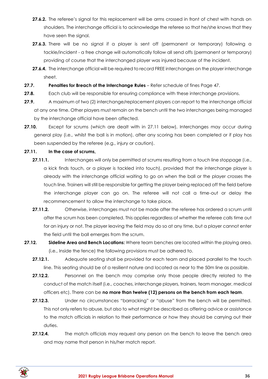- **27.6.2.** The referee's signal for this replacement will be arms crossed in front of chest with hands on shoulders. The interchange official is to acknowledge the referee so that he/she knows that they have seen the signal.
- **27.6.3.** There will be no signal if a player is sent off (permanent or temporary) following a tackle/incident - a free change will automatically follow all send offs (permanent or temporary) providing of course that the interchanged player was injured because of the incident.
- **27.6.4.** The interchange official will be required to record FREE interchanges on the player interchange sheet.
- **27.7. Penalties for Breach of the Interchange Rules** Refer schedule of fines Page 47.
- **27.8.** Each club will be responsible for ensuring compliance with these interchange provisions.
- **27.9.** A maximum of two (2) interchange/replacement players can report to the interchange official at any one time. Other players must remain on the bench until the two interchanges being managed by the interchange official have been affected.
- **27.10.** Except for scrums (which are dealt with in 27.11 below), Interchanges may occur during general play (i.e., whilst the ball is in motion), after any scoring has been completed or if play has been suspended by the referee (e.g., injury or caution).

## **27.11. In the case of scrums,**

- 27.11.1. Interchanges will only be permitted at scrums resulting from a touch line stoppage (i.e., a kick finds touch, or a player is tackled into touch), provided that the interchange player is already with the interchange official waiting to go on when the ball or the player crosses the touch line. Trainers will still be responsible for getting the player being replaced off the field before the interchange player can go on. The referee will not call a time-out or delay the recommencement to allow the interchange to take place.
- **27.11.2.** Otherwise, interchanges must not be made after the referee has ordered a scrum until after the scrum has been completed. This applies regardless of whether the referee calls time out for an injury or not. The player leaving the field may do so at any time, but a player cannot enter the field until the ball emerges from the scrum.
- **27.12. Sideline Area and Bench Locations:** Where team benches are located within the playing area. (i.e., Inside the fence) the following provisions must be adhered to.
	- **27.12.1.** Adequate seating shall be provided for each team and placed parallel to the touch line. This seating should be of a resilient nature and located as near to the 50m line as possible.
	- **27.12.2.** Personnel on the bench may comprise only those people directly related to the conduct of the match itself (i.e., coaches, interchange players, trainers, team manager, medical officers etc). There can be **no more than twelve (12) persons on the bench from each team**.
	- **27.12.3.** Under no circumstances "barracking" or "abuse" from the bench will be permitted. This not only refers to abuse, but also to what might be described as offering advice or assistance to the match officials in relation to their performance or how they should be carrying out their duties.
	- **27.12.4.** The match officials may request any person on the bench to leave the bench area and may name that person in his/her match report.

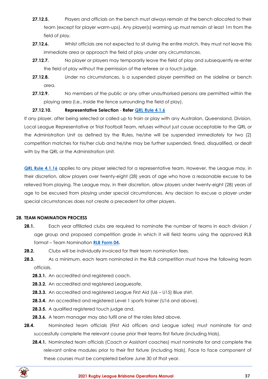- **27.12.5.** Players and officials on the bench must always remain at the bench allocated to their team (except for player warm-ups). Any player(s) warming up must remain at least 1m from the field of play.
- **27.12.6.** Whilst officials are not expected to sit during the entire match, they must not leave this immediate area or approach the field of play under any circumstances.
- **27.12.7.** No player or players may temporarily leave the field of play and subsequently re-enter the field of play without the permission of the referee or a touch judge.
- **27.12.8.** Under no circumstances, is a suspended player permitted on the sideline or bench area.
- **27.12.9.** No members of the public or any other unauthorised persons are permitted within the playing area (i.e., inside the fence surrounding the field of play).

## **27.12.10. Representative Selection** - **Refer [QRL Rule 4.1.6](https://www.qrl.com.au/contentassets/fe165f50b22a4557bddabb6ca8e9d0a2/qrl-rules-part-4.pdf)**

If any player, after being selected or called up to train or play with any Australian, Queensland, Division, Local League Representative or Trial Football Team, refuses without just cause acceptable to the QRL or the Administration Unit as defined by the Rules, he/she will be suspended immediately for two (2) competition matches for his/her club and he/she may be further suspended, fined, disqualified, or dealt with by the QRL or the Administration Unit.

**[QRL Rule 4.1.16](https://www.qrl.com.au/contentassets/fe165f50b22a4557bddabb6ca8e9d0a2/qrl-rules-part-4.pdf)** applies to any player selected for a representative team. However, the League may, in their discretion, allow players over twenty-eight (28) years of age who have a reasonable excuse to be relieved from playing. The League may, in their discretion, allow players under twenty-eight (28) years of age to be excused from playing under special circumstances. Any decision to excuse a player under special circumstances does not create a precedent for other players.

#### <span id="page-36-0"></span>**28. TEAM NOMINATION PROCESS**

- **28.1.** Each year affiliated clubs are required to nominate the number of teams in each division / age group and proposed competition grade in which it will field teams using the approved RLB format – Team Nomination **[RLB Form 04.](https://www.rugbyleaguebrisbane.com.au/documents-policies)**
- **28.2.** Clubs will be individually invoiced for their team nomination fees.
- **28.3.** As a minimum, each team nominated in the RLB competition must have the following team officials,
	- **28.3.1.** An accredited and registered coach.
	- **28.3.2.** An accredited and registered Leaguesafe,
	- **28.3.3.** An accredited and registered League First Aid (U6 U15) Blue shirt.
	- **28.3.4.** An accredited and registered Level 1 sports trainer (U16 and above).
	- **28.3.5.** A qualified registered touch judge and,
	- **28.3.6.** A team manager may also fulfil one of the roles listed above.
- **28.4.** Nominated team officials (First Aid officers and League safes) must nominate for and successfully complete the relevant course prior their teams first fixture (including trials).
	- **28.4.1.** Nominated team officials (Coach or Assistant coaches) must nominate for and complete the relevant online modules prior to their first fixture (including trials). Face to face component of these courses must be completed before June 30 of that year.

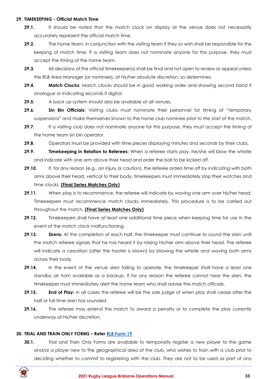#### <span id="page-37-0"></span>**29. TIMEKEEPING - Official Match Time**

- **29.1.** It should be noted that the match clock on display at the venue does not necessarily accurately represent the official match time.
- **29.2.** The home team, in conjunction with the visiting team if they so wish shall be responsible for the keeping of match time. If a visiting team does not nominate anyone for this purpose, they must accept the timing of the home team.
- **29.3.** All decisions of the official timekeeper(s) shall be final and not open to review or appeal unless the RLB Area Manager (or nominee), at his/her absolute discretion, so determines.
- **29.4. Match Clocks:** Match clocks should be in good working order and showing second hand if analogue or indicating seconds if digital.
- **29.5.** A back up system should also be available at all venues.
- **29.6. Sin Bin Officials:** Visiting clubs must nominate their personnel for timing of "temporary suspensions" and make themselves known to the home club nominee prior to the start of the match.
- 29.7. If a visiting club does not nominate anyone for this purpose, they must accept the timing of the home team sin bin operator.
- **29.8.** Operators must be provided with time pieces displaying minutes and seconds by their clubs.
- **29.9. Timekeeping in Relation to Referees:** When a referee starts play, he/she will blow the whistle and indicate with one arm above their head and order the ball to be kicked off.
- **29.10.** If, for any reason (e.g., an injury or caution), the referee orders time off by indicating with both arms above their head, vertical to their body, timekeepers must immediately stop their watches and time clocks. **(Final Series Matches Only)**
- **29.11.** When play is to recommence, the referee will indicate by waving one arm over his/her head. Timekeepers must recommence match clocks immediately. This procedure is to be carried out throughout the match. **(Final Series Matches Only)**
- **29.12.** Timekeepers shall have at least one additional time piece when keeping time for use in the event of the match clock malfunctioning.
- **29.13. Sirens:** At the completion of each half, the timekeeper must continue to sound the siren until the match referee signals that he has heard it by raising his/her arm above their head. The referee will indicate a cessation (after the hooter is blown) by blowing the whistle and waving both arms across their body.
- **29.14.** In the event of the venue siren failing to operate, the timekeeper shall have a least one standby air horn available as a backup. If for any reason the referee cannot hear the siren, the timekeeper must immediately alert the home team who shall advise the match officials.
- **29.15. End of Play:** In all cases the referee will be the sole judge of when play shall cease after the half or full-time siren has sounded.
- **29.16.** The referee may extend the match to award a penalty or to complete the play currently underway at his/her discretion.

## <span id="page-37-1"></span>**30. TRIAL AND TRAIN ONLY FORMS – Refer [RLB Form 19](https://www.rugbyleaguebrisbane.com.au/documents-policies)**

**30.1.** Trial and Train Only Forms are available to temporarily register a new player to the game and/or a player new to the geographical area of the club, who wishes to train with a club prior to deciding whether to commit to registering with the club. They are not to be used as part of any

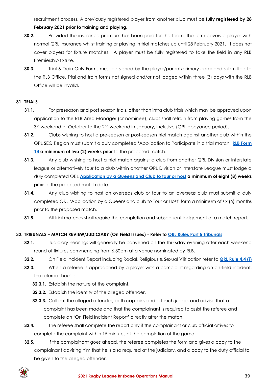recruitment process. A previously registered player from another club must be **fully registered by 28** 

## **February 2021 prior to training and playing.**

- **30.2.** Provided the insurance premium has been paid for the team, the form covers a player with normal QRL Insurance whilst training or playing in trial matches up until 28 February 2021. It does not cover players for fixture matches. A player must be fully registered to take the field in any RLB Premiership fixture.
- **30.3.** Trial & Train Only Forms must be signed by the player/parent/primary carer and submitted to the RLB Office. Trial and train forms not signed and/or not lodged within three (3) days with the RLB Office will be invalid.

## <span id="page-38-0"></span>**31. TRIALS**

- **31.1.** For preseason and post season trials, other than intra club trials which may be approved upon application to the RLB Area Manager (or nominee), clubs shall refrain from playing games from the  $3<sup>rd</sup>$  weekend of October to the  $2<sup>nd</sup>$  weekend in January, inclusive (QRL abeyance period).
- **31.2.** Clubs wishing to host a pre-season or post-season trial match against another club within the QRL SEQ Region must submit a duly completed 'Application to Participate in a trial match' **[RLB Form](https://www.rugbyleaguebrisbane.com.au/documents-policies)  [14](https://www.rugbyleaguebrisbane.com.au/documents-policies) a minimum of two (2) weeks prior** to the proposed match.
- **31.3.** Any club wishing to host a trial match against a club from another QRL Division or Interstate league or alternatively tour to a club within another QRL Division or Interstate League must lodge a duly completed QRL **[Application by a Queensland Club](https://www.rugbyleaguebrisbane.com.au/documents-policies) to tour or host a minimum of eight (8) weeks prior** to the proposed match date.
- **31.4.** Any club wishing to host an overseas club or tour to an overseas club must submit a duly completed QRL 'Application by a Queensland club to Tour or Host' form a minimum of six (6) months prior to the proposed match.
- **31.5.** All trial matches shall require the completion and subsequent lodgement of a match report.

## <span id="page-38-1"></span>**32. TRIBUNALS – MATCH REVIEW/JUDICIARY (On Field Issues) - Refer to [QRL Rules Part 5 Tribunals](https://www.qrl.com.au/contentassets/5082282f19124e0cab5852f0b1815557/qrl-rules-part-5.pdf)**

- **32.1.** Judiciary hearings will generally be convened on the Thursday evening after each weekend round of fixtures commencing from 6.30pm at a venue nominated by RLB.
- **32.2.** On Field Incident Report including Racial, Religious & Sexual Vilification refer to **[QRL Rule 4.4 \(j\)](https://www.qrl.com.au/contentassets/fe165f50b22a4557bddabb6ca8e9d0a2/qrl-rules-part-4.pdf)**
- **32.3.** When a referee is approached by a player with a complaint regarding an on-field incident, the referee should:
	- **32.3.1.** Establish the nature of the complaint,
	- **32.3.2.** Establish the identity of the alleged offender,
	- **32.3.3.** Call out the alleged offender, both captains and a touch judge, and advise that a complaint has been made and that the complainant is required to assist the referee and complete an 'On Field Incident Report' directly after the match.
- **32.4.** The referee shall complete the report only if the complainant or club official arrives to complete the complaint within 15 minutes of the completion of the game.
- **32.5.** If the complainant goes ahead, the referee completes the form and gives a copy to the complainant advising him that he is also required at the judiciary, and a copy to the duty official to be given to the alleged offender.

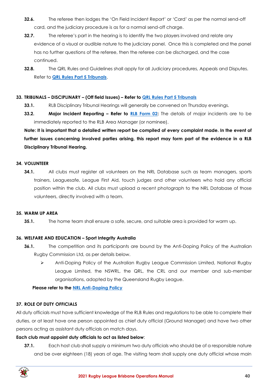- **32.6.** The referee then lodges the 'On Field Incident Report' or 'Card' as per the normal send-off card, and the judiciary procedure is as for a normal send-off charge.
- **32.7.** The referee's part in the hearing is to identify the two players involved and relate any evidence of a visual or audible nature to the judiciary panel. Once this is completed and the panel has no further questions of the referee, then the referee can be discharged, and the case continued.
- **32.8.** The QRL Rules and Guidelines shall apply for all Judiciary procedures, Appeals and Disputes. Refer to **[QRL Rules Part 5 Tribunals](https://www.qrl.com.au/contentassets/5082282f19124e0cab5852f0b1815557/qrl-rules-part-5.pdf)**.

#### <span id="page-39-0"></span>**33. TRIBUNALS – DISCIPLINARY – (Off field Issues) – Refer to [QRL Rules Part 5 Tribunals](https://www.qrl.com.au/contentassets/5082282f19124e0cab5852f0b1815557/qrl-rules-part-5.pdf)**

- **33.1.** RLB Disciplinary Tribunal Hearings will generally be convened on Thursday evenings.
- **33.2. Major Incident Reporting – Refer to [RLB Form 02:](https://www.rugbyleaguebrisbane.com.au/documents-policies)** The details of major incidents are to be immediately reported to the RLB Area Manager (or nominee).

**Note: It is important that a detailed written report be compiled of every complaint made. In the event of further issues concerning involved parties arising, this report may form part of the evidence in a RLB Disciplinary Tribunal Hearing.**

#### <span id="page-39-1"></span>**34. VOLUNTEER**

**34.1.** All clubs must register all volunteers on the NRL Database such as team managers, sports trainers, Leaguesafe, League First Aid, touch judges and other volunteers who hold any official position within the club. All clubs must upload a recent photograph to the NRL Database of those volunteers, directly involved with a team.

#### <span id="page-39-2"></span>**35. WARM UP AREA**

**35.1.** The home team shall ensure a safe, secure, and suitable area is provided for warm up.

## <span id="page-39-3"></span>**36. WELFARE AND EDUCATION – Sport Integrity Australia**

- **36.1.** The competition and its participants are bound by the Anti-Doping Policy of the Australian Rugby Commission Ltd, as per details below.
	- ➢ Anti-Doping Policy of the Australian Rugby League Commission Limited, National Rugby League Limited, the NSWRL, the QRL, the CRL and our member and sub-member organisations, adopted by the Queensland Rugby League.

## **Please refer to the [NRL Anti-Doping](https://www.nrl.com/operations/integrity/anti-doping/?_ga=2.261946126.285067718.1616240900-1105502845.1611784090) Policy**

## <span id="page-39-4"></span>**37. ROLE OF DUTY OFFICIALS**

All duty officials must have sufficient knowledge of the RLB Rules and regulations to be able to complete their duties, or at least have one person appointed as chief duty official (Ground Manager) and have two other persons acting as assistant duty officials on match days.

#### **Each club must appoint duty officials to act as listed below**:

**37.1.** Each host club shall supply a minimum two duty officials who should be of a responsible nature and be over eighteen (18) years of age. The visiting team shall supply one duty official whose main

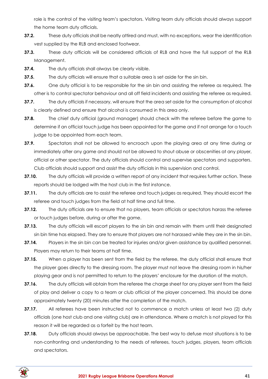role is the control of the visiting team's spectators. Visiting team duty officials should always support the home team duty officials.

- **37.2.** These duty officials shall be neatly attired and must, with no exceptions, wear the identification vest supplied by the RLB and enclosed footwear.
- **37.3.** These duty officials will be considered officials of RLB and have the full support of the RLB Management.
- **37.4.** The duty officials shall always be clearly visible.
- **37.5.** The duty officials will ensure that a suitable area is set aside for the sin bin.
- **37.6.** One duty official is to be responsible for the sin bin and assisting the referee as required. The other is to control spectator behaviour and all off field incidents and assisting the referee as required.
- **37.7.** The duty officials if necessary, will ensure that the area set aside for the consumption of alcohol is clearly defined and ensure that alcohol is consumed in this area only.
- **37.8.** The chief duty official (ground manager) should check with the referee before the game to determine if an official touch judge has been appointed for the game and if not arrange for a touch judge to be appointed from each team.
- **37.9.** Spectators shall not be allowed to encroach upon the playing area at any time during or immediately after any game and should not be allowed to shout abuse or obscenities at any player, official or other spectator. The duty officials should control and supervise spectators and supporters. Club officials should support and assist the duty officials in this supervision and control.
- **37.10.** The duty officials will provide a written report of any incident that requires further action. These reports should be lodged with the host club in the first instance.
- **37.11.** The duty officials are to assist the referee and touch judges as required. They should escort the referee and touch judges from the field at half time and full time.
- **37.12.** The duty officials are to ensure that no players, team officials or spectators harass the referee or touch judges before, during or after the game.
- **37.13.** The duty officials will escort players to the sin bin and remain with them until their designated sin bin time has elapsed. They are to ensure that players are not harassed while they are in the sin bin.
- **37.14.** Players in the sin bin can be treated for injuries and/or given assistance by qualified personnel. Players may return to their teams at half time.
- **37.15.** When a player has been sent from the field by the referee, the duty official shall ensure that the player goes directly to the dressing room. The player must not leave the dressing room in his/her playing gear and is not permitted to return to the players' enclosure for the duration of the match.
- **37.16.** The duty officials will obtain from the referee the charge sheet for any player sent from the field of play and deliver a copy to a team or club official of the player concerned. This should be done approximately twenty (20) minutes after the completion of the match.
- **37.17.** All referees have been instructed not to commence a match unless at least two (2) duty officials (one host club and one visiting club) are in attendance. Where a match is not played for this reason it will be regarded as a forfeit by the host team.
- **37.18.** Duty officials should always be approachable. The best way to defuse most situations is to be non-confronting and understanding to the needs of referees, touch judges, players, team officials and spectators.

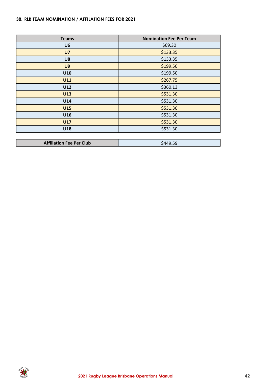## <span id="page-41-0"></span>**38. RLB TEAM NOMINATION / AFFILATION FEES FOR 2021**

| <b>Teams</b>                    | <b>Nomination Fee Per Team</b> |
|---------------------------------|--------------------------------|
| U <sub>6</sub>                  | \$69.30                        |
| U <sub>7</sub>                  | \$133.35                       |
| U8                              | \$133.35                       |
| U <sub>9</sub>                  | \$199.50                       |
| U10                             | \$199.50                       |
| <b>U11</b>                      | \$267.75                       |
| U12                             | \$360.13                       |
| U13                             | \$531.30                       |
| U14                             | \$531.30                       |
| <b>U15</b>                      | \$531.30                       |
| U16                             | \$531.30                       |
| <b>U17</b>                      | \$531.30                       |
| U18                             | \$531.30                       |
|                                 |                                |
| <b>Affiliation Fee Per Club</b> | \$449.59                       |

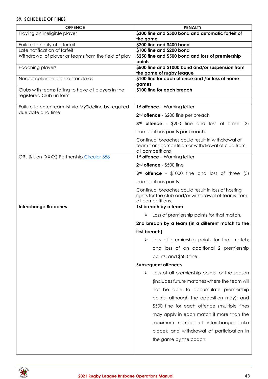## <span id="page-42-0"></span>**39. SCHEDULE OF FINES**

| <b>OFFENCE</b>                                                                 | <b>PENALTY</b>                                                                                                                 |
|--------------------------------------------------------------------------------|--------------------------------------------------------------------------------------------------------------------------------|
| Playing an ineligible player                                                   | \$300 fine and \$500 bond and automatic forfeit of<br>the game                                                                 |
| Failure to notify of a forfeit                                                 | \$200 fine and \$400 bond                                                                                                      |
| Late notification of forfeit                                                   | \$100 fine and \$200 bond                                                                                                      |
| Withdrawal of player or teams from the field of play                           | \$250 fine and \$500 bond and loss of premiership<br>points                                                                    |
| Poaching players                                                               | \$500 fine and \$1000 bond and/or suspension from<br>the game of rugby league                                                  |
| Noncompliance of field standards                                               | \$100 fine for each offence and /or loss of home<br>games                                                                      |
| Clubs with teams failing to have all players in the<br>registered Club uniform | \$100 fine for each breach                                                                                                     |
| Failure to enter team list via MySideline by required                          | $1st$ offence – Warning letter                                                                                                 |
| due date and time                                                              |                                                                                                                                |
|                                                                                | 2 <sup>nd</sup> offence - \$200 fine per breach                                                                                |
|                                                                                | 3rd offence - \$200 fine and loss of three (3)<br>competitions points per breach.                                              |
|                                                                                |                                                                                                                                |
|                                                                                | Continual breaches could result in withdrawal of<br>team from competition or withdrawal of club from<br>all competitions       |
| QRL & Lion (XXXX) Partnership Circular 358                                     | $1st$ offence – Warning letter                                                                                                 |
|                                                                                | 2 <sup>nd</sup> offence - \$500 fine                                                                                           |
|                                                                                | 3rd offence - \$1000 fine and loss of three (3)                                                                                |
|                                                                                | competitions points.                                                                                                           |
|                                                                                | Continual breaches could result in loss of hosting<br>rights for the club and/or withdrawal of teams from<br>all competitions. |
| <b>Interchange Breaches</b>                                                    | 1st breach by a team                                                                                                           |
|                                                                                | Loss of premiership points for that match.<br>➤                                                                                |
|                                                                                | 2nd breach by a team (in a different match to the                                                                              |
|                                                                                | first breach)                                                                                                                  |
|                                                                                | Loss of premiership points for that match;                                                                                     |
|                                                                                | and loss of an additional 2 premiership                                                                                        |
|                                                                                | points; and \$500 fine.                                                                                                        |
|                                                                                | <b>Subsequent offences</b>                                                                                                     |
|                                                                                | Loss of all premiership points for the season                                                                                  |
|                                                                                | (includes future matches where the team will                                                                                   |
|                                                                                | not be able to accumulate premiership                                                                                          |
|                                                                                | points, although the opposition may); and                                                                                      |
|                                                                                |                                                                                                                                |
|                                                                                | \$500 fine for each offence (multiple fines                                                                                    |
|                                                                                | may apply in each match if more than the                                                                                       |
|                                                                                | maximum number of interchanges take                                                                                            |
|                                                                                | place); and withdrawal of participation in                                                                                     |
|                                                                                | the game by the coach.                                                                                                         |
|                                                                                |                                                                                                                                |